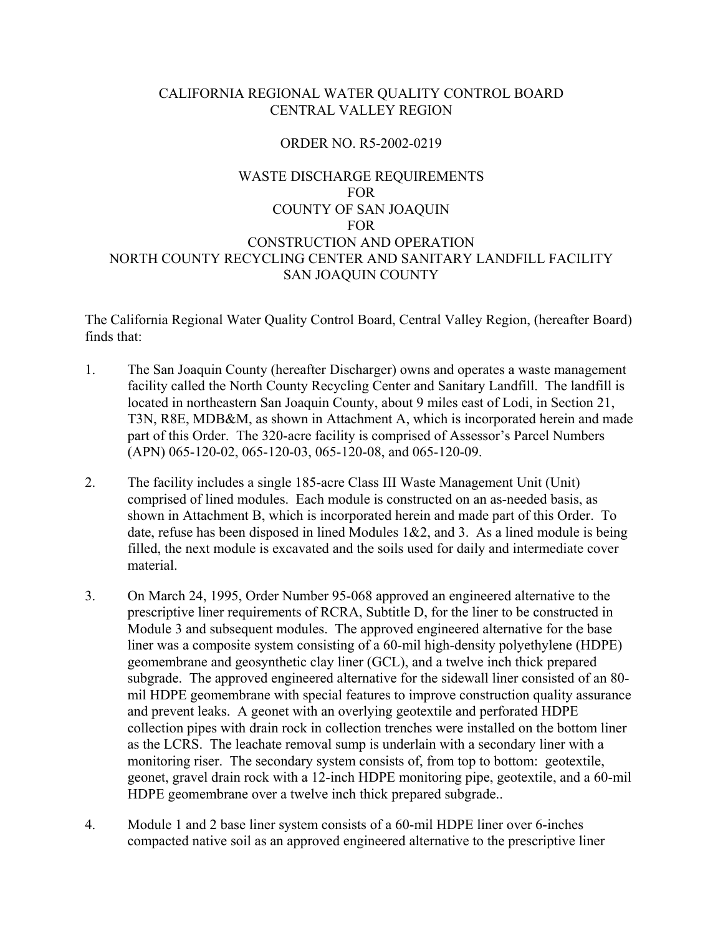# CALIFORNIA REGIONAL WATER QUALITY CONTROL BOARD CENTRAL VALLEY REGION

# ORDER NO. R5-2002-0219

# WASTE DISCHARGE REQUIREMENTS FOR COUNTY OF SAN JOAQUIN FOR CONSTRUCTION AND OPERATION NORTH COUNTY RECYCLING CENTER AND SANITARY LANDFILL FACILITY SAN JOAQUIN COUNTY

The California Regional Water Quality Control Board, Central Valley Region, (hereafter Board) finds that:

- 1. The San Joaquin County (hereafter Discharger) owns and operates a waste management facility called the North County Recycling Center and Sanitary Landfill. The landfill is located in northeastern San Joaquin County, about 9 miles east of Lodi, in Section 21, T3N, R8E, MDB&M, as shown in Attachment A, which is incorporated herein and made part of this Order. The 320-acre facility is comprised of Assessor's Parcel Numbers (APN) 065-120-02, 065-120-03, 065-120-08, and 065-120-09.
- 2. The facility includes a single 185-acre Class III Waste Management Unit (Unit) comprised of lined modules. Each module is constructed on an as-needed basis, as shown in Attachment B, which is incorporated herein and made part of this Order. To date, refuse has been disposed in lined Modules  $1&2$ , and 3. As a lined module is being filled, the next module is excavated and the soils used for daily and intermediate cover material.
- 3. On March 24, 1995, Order Number 95-068 approved an engineered alternative to the prescriptive liner requirements of RCRA, Subtitle D, for the liner to be constructed in Module 3 and subsequent modules. The approved engineered alternative for the base liner was a composite system consisting of a 60-mil high-density polyethylene (HDPE) geomembrane and geosynthetic clay liner (GCL), and a twelve inch thick prepared subgrade. The approved engineered alternative for the sidewall liner consisted of an 80 mil HDPE geomembrane with special features to improve construction quality assurance and prevent leaks. A geonet with an overlying geotextile and perforated HDPE collection pipes with drain rock in collection trenches were installed on the bottom liner as the LCRS. The leachate removal sump is underlain with a secondary liner with a monitoring riser. The secondary system consists of, from top to bottom: geotextile, geonet, gravel drain rock with a 12-inch HDPE monitoring pipe, geotextile, and a 60-mil HDPE geomembrane over a twelve inch thick prepared subgrade..
- 4. Module 1 and 2 base liner system consists of a 60-mil HDPE liner over 6-inches compacted native soil as an approved engineered alternative to the prescriptive liner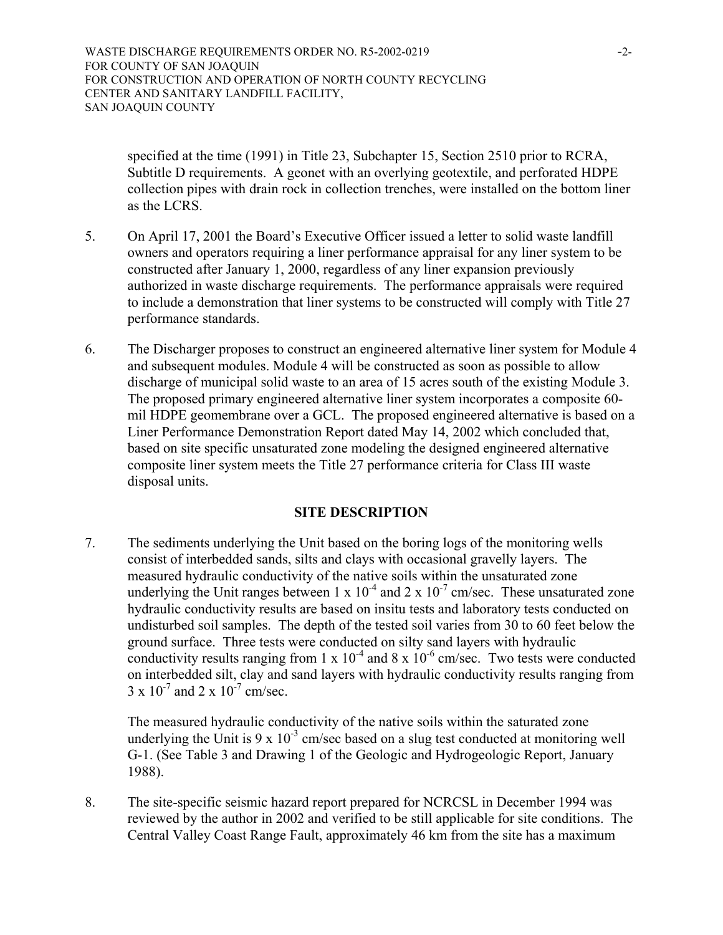WASTE DISCHARGE REQUIREMENTS ORDER NO. R5-2002-0219 -2-FOR COUNTY OF SAN JOAQUIN FOR CONSTRUCTION AND OPERATION OF NORTH COUNTY RECYCLING CENTER AND SANITARY LANDFILL FACILITY, SAN JOAQUIN COUNTY

specified at the time (1991) in Title 23, Subchapter 15, Section 2510 prior to RCRA, Subtitle D requirements. A geonet with an overlying geotextile, and perforated HDPE collection pipes with drain rock in collection trenches, were installed on the bottom liner as the LCRS.

- 5. On April 17, 2001 the Board's Executive Officer issued a letter to solid waste landfill owners and operators requiring a liner performance appraisal for any liner system to be constructed after January 1, 2000, regardless of any liner expansion previously authorized in waste discharge requirements. The performance appraisals were required to include a demonstration that liner systems to be constructed will comply with Title 27 performance standards.
- 6. The Discharger proposes to construct an engineered alternative liner system for Module 4 and subsequent modules. Module 4 will be constructed as soon as possible to allow discharge of municipal solid waste to an area of 15 acres south of the existing Module 3. The proposed primary engineered alternative liner system incorporates a composite 60 mil HDPE geomembrane over a GCL. The proposed engineered alternative is based on a Liner Performance Demonstration Report dated May 14, 2002 which concluded that, based on site specific unsaturated zone modeling the designed engineered alternative composite liner system meets the Title 27 performance criteria for Class III waste disposal units.

# **SITE DESCRIPTION**

7. The sediments underlying the Unit based on the boring logs of the monitoring wells consist of interbedded sands, silts and clays with occasional gravelly layers. The measured hydraulic conductivity of the native soils within the unsaturated zone underlying the Unit ranges between 1 x  $10^{-4}$  and 2 x  $10^{-7}$  cm/sec. These unsaturated zone hydraulic conductivity results are based on insitu tests and laboratory tests conducted on undisturbed soil samples. The depth of the tested soil varies from 30 to 60 feet below the ground surface. Three tests were conducted on silty sand layers with hydraulic conductivity results ranging from  $1 \times 10^{-4}$  and  $8 \times 10^{-6}$  cm/sec. Two tests were conducted on interbedded silt, clay and sand layers with hydraulic conductivity results ranging from  $3 \times 10^{-7}$  and  $2 \times 10^{-7}$  cm/sec.

The measured hydraulic conductivity of the native soils within the saturated zone underlying the Unit is 9 x  $10^{-3}$  cm/sec based on a slug test conducted at monitoring well G-1. (See Table 3 and Drawing 1 of the Geologic and Hydrogeologic Report, January 1988).

8. The site-specific seismic hazard report prepared for NCRCSL in December 1994 was reviewed by the author in 2002 and verified to be still applicable for site conditions. The Central Valley Coast Range Fault, approximately 46 km from the site has a maximum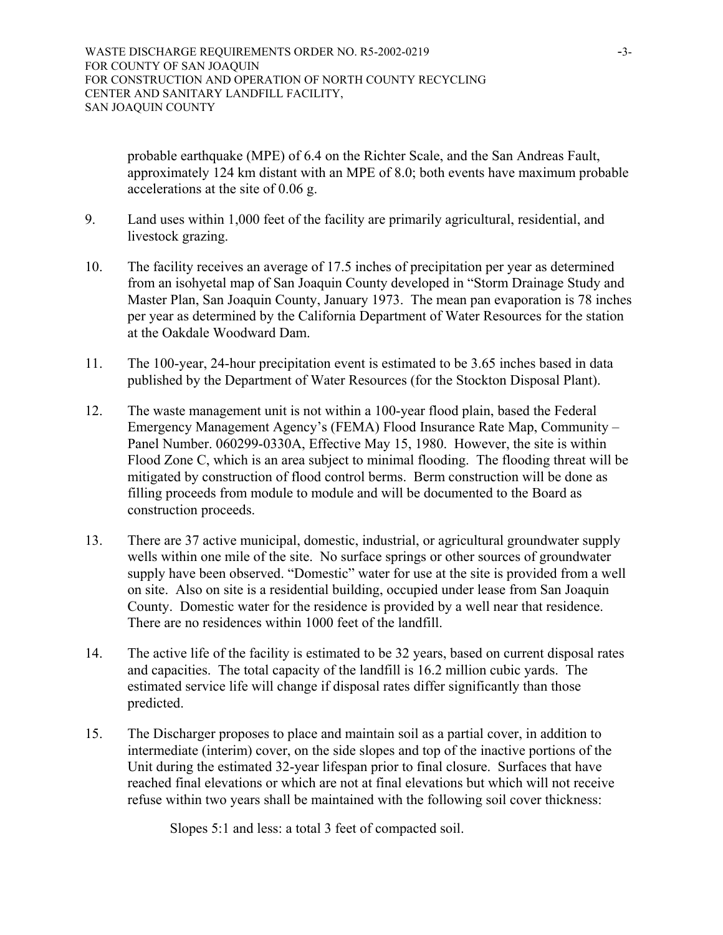probable earthquake (MPE) of 6.4 on the Richter Scale, and the San Andreas Fault, approximately 124 km distant with an MPE of 8.0; both events have maximum probable accelerations at the site of 0.06 g.

- 9. Land uses within 1,000 feet of the facility are primarily agricultural, residential, and livestock grazing.
- 10. The facility receives an average of 17.5 inches of precipitation per year as determined from an isohyetal map of San Joaquin County developed in "Storm Drainage Study and Master Plan, San Joaquin County, January 1973. The mean pan evaporation is 78 inches per year as determined by the California Department of Water Resources for the station at the Oakdale Woodward Dam.
- 11. The 100-year, 24-hour precipitation event is estimated to be 3.65 inches based in data published by the Department of Water Resources (for the Stockton Disposal Plant).
- 12. The waste management unit is not within a 100-year flood plain, based the Federal Emergency Management Agency's (FEMA) Flood Insurance Rate Map, Community – Panel Number. 060299-0330A, Effective May 15, 1980. However, the site is within Flood Zone C, which is an area subject to minimal flooding. The flooding threat will be mitigated by construction of flood control berms. Berm construction will be done as filling proceeds from module to module and will be documented to the Board as construction proceeds.
- 13. There are 37 active municipal, domestic, industrial, or agricultural groundwater supply wells within one mile of the site. No surface springs or other sources of groundwater supply have been observed. "Domestic" water for use at the site is provided from a well on site. Also on site is a residential building, occupied under lease from San Joaquin County. Domestic water for the residence is provided by a well near that residence. There are no residences within 1000 feet of the landfill.
- 14. The active life of the facility is estimated to be 32 years, based on current disposal rates and capacities. The total capacity of the landfill is 16.2 million cubic yards. The estimated service life will change if disposal rates differ significantly than those predicted.
- 15. The Discharger proposes to place and maintain soil as a partial cover, in addition to intermediate (interim) cover, on the side slopes and top of the inactive portions of the Unit during the estimated 32-year lifespan prior to final closure. Surfaces that have reached final elevations or which are not at final elevations but which will not receive refuse within two years shall be maintained with the following soil cover thickness:

Slopes 5:1 and less: a total 3 feet of compacted soil.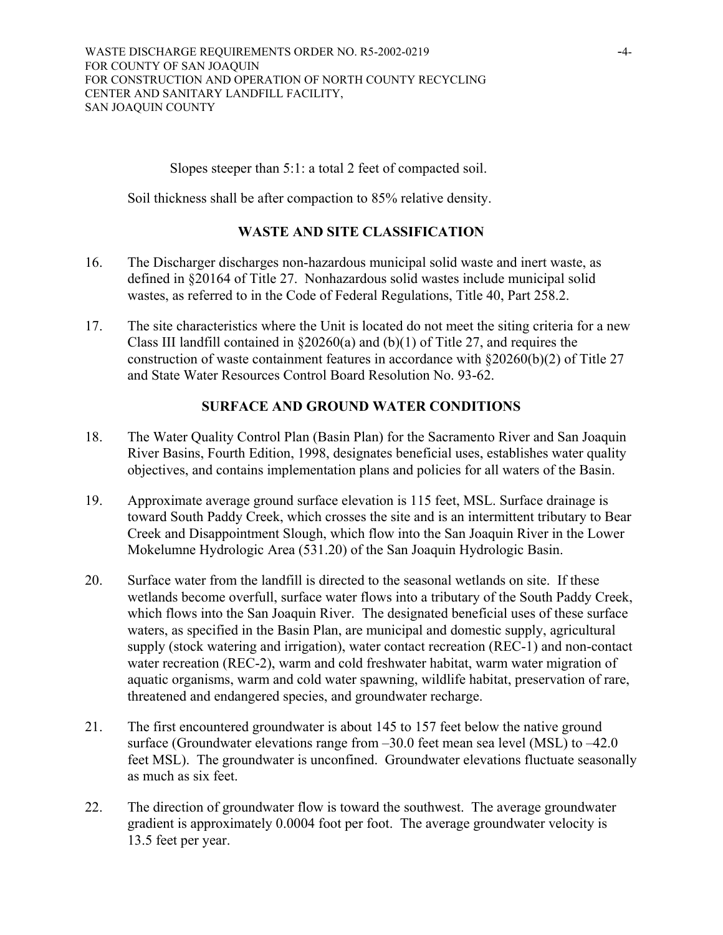WASTE DISCHARGE REQUIREMENTS ORDER NO. R5-2002-0219 -4-FOR COUNTY OF SAN JOAQUIN FOR CONSTRUCTION AND OPERATION OF NORTH COUNTY RECYCLING CENTER AND SANITARY LANDFILL FACILITY, SAN JOAQUIN COUNTY

Slopes steeper than 5:1: a total 2 feet of compacted soil.

Soil thickness shall be after compaction to 85% relative density.

## **WASTE AND SITE CLASSIFICATION**

- 16. The Discharger discharges non-hazardous municipal solid waste and inert waste, as defined in §20164 of Title 27. Nonhazardous solid wastes include municipal solid wastes, as referred to in the Code of Federal Regulations, Title 40, Part 258.2.
- 17. The site characteristics where the Unit is located do not meet the siting criteria for a new Class III landfill contained in  $\S20260(a)$  and (b)(1) of Title 27, and requires the construction of waste containment features in accordance with §20260(b)(2) of Title 27 and State Water Resources Control Board Resolution No. 93-62.

## **SURFACE AND GROUND WATER CONDITIONS**

- 18. The Water Quality Control Plan (Basin Plan) for the Sacramento River and San Joaquin River Basins, Fourth Edition, 1998, designates beneficial uses, establishes water quality objectives, and contains implementation plans and policies for all waters of the Basin.
- 19. Approximate average ground surface elevation is 115 feet, MSL. Surface drainage is toward South Paddy Creek, which crosses the site and is an intermittent tributary to Bear Creek and Disappointment Slough, which flow into the San Joaquin River in the Lower Mokelumne Hydrologic Area (531.20) of the San Joaquin Hydrologic Basin.
- 20. Surface water from the landfill is directed to the seasonal wetlands on site. If these wetlands become overfull, surface water flows into a tributary of the South Paddy Creek, which flows into the San Joaquin River. The designated beneficial uses of these surface waters, as specified in the Basin Plan, are municipal and domestic supply, agricultural supply (stock watering and irrigation), water contact recreation (REC-1) and non-contact water recreation (REC-2), warm and cold freshwater habitat, warm water migration of aquatic organisms, warm and cold water spawning, wildlife habitat, preservation of rare, threatened and endangered species, and groundwater recharge.
- 21. The first encountered groundwater is about 145 to 157 feet below the native ground surface (Groundwater elevations range from –30.0 feet mean sea level (MSL) to –42.0 feet MSL). The groundwater is unconfined. Groundwater elevations fluctuate seasonally as much as six feet.
- 22. The direction of groundwater flow is toward the southwest. The average groundwater gradient is approximately 0.0004 foot per foot. The average groundwater velocity is 13.5 feet per year.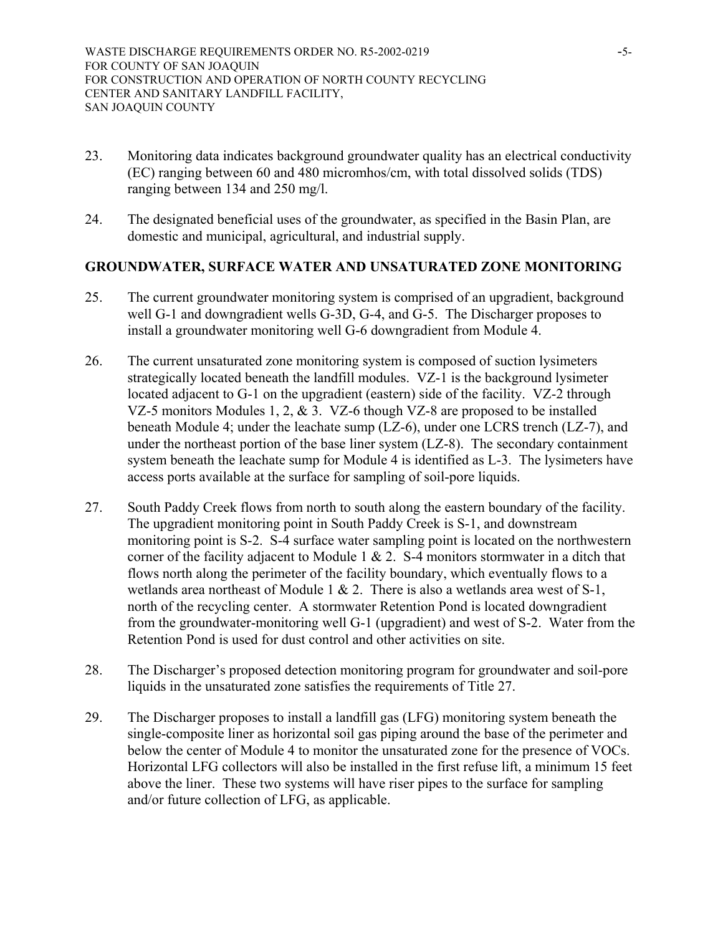- 23. Monitoring data indicates background groundwater quality has an electrical conductivity (EC) ranging between 60 and 480 micromhos/cm, with total dissolved solids (TDS) ranging between 134 and 250 mg/l.
- 24. The designated beneficial uses of the groundwater, as specified in the Basin Plan, are domestic and municipal, agricultural, and industrial supply.

# **GROUNDWATER, SURFACE WATER AND UNSATURATED ZONE MONITORING**

- 25. The current groundwater monitoring system is comprised of an upgradient, background well G-1 and downgradient wells G-3D, G-4, and G-5. The Discharger proposes to install a groundwater monitoring well G-6 downgradient from Module 4.
- 26. The current unsaturated zone monitoring system is composed of suction lysimeters strategically located beneath the landfill modules. VZ-1 is the background lysimeter located adjacent to G-1 on the upgradient (eastern) side of the facility. VZ-2 through VZ-5 monitors Modules 1, 2, & 3. VZ-6 though VZ-8 are proposed to be installed beneath Module 4; under the leachate sump (LZ-6), under one LCRS trench (LZ-7), and under the northeast portion of the base liner system (LZ-8). The secondary containment system beneath the leachate sump for Module 4 is identified as L-3. The lysimeters have access ports available at the surface for sampling of soil-pore liquids.
- 27. South Paddy Creek flows from north to south along the eastern boundary of the facility. The upgradient monitoring point in South Paddy Creek is S-1, and downstream monitoring point is S-2. S-4 surface water sampling point is located on the northwestern corner of the facility adjacent to Module 1  $& 2.$  S-4 monitors stormwater in a ditch that flows north along the perimeter of the facility boundary, which eventually flows to a wetlands area northeast of Module 1  $& 2$ . There is also a wetlands area west of S-1, north of the recycling center. A stormwater Retention Pond is located downgradient from the groundwater-monitoring well G-1 (upgradient) and west of S-2. Water from the Retention Pond is used for dust control and other activities on site.
- 28. The Discharger's proposed detection monitoring program for groundwater and soil-pore liquids in the unsaturated zone satisfies the requirements of Title 27.
- 29. The Discharger proposes to install a landfill gas (LFG) monitoring system beneath the single-composite liner as horizontal soil gas piping around the base of the perimeter and below the center of Module 4 to monitor the unsaturated zone for the presence of VOCs. Horizontal LFG collectors will also be installed in the first refuse lift, a minimum 15 feet above the liner. These two systems will have riser pipes to the surface for sampling and/or future collection of LFG, as applicable.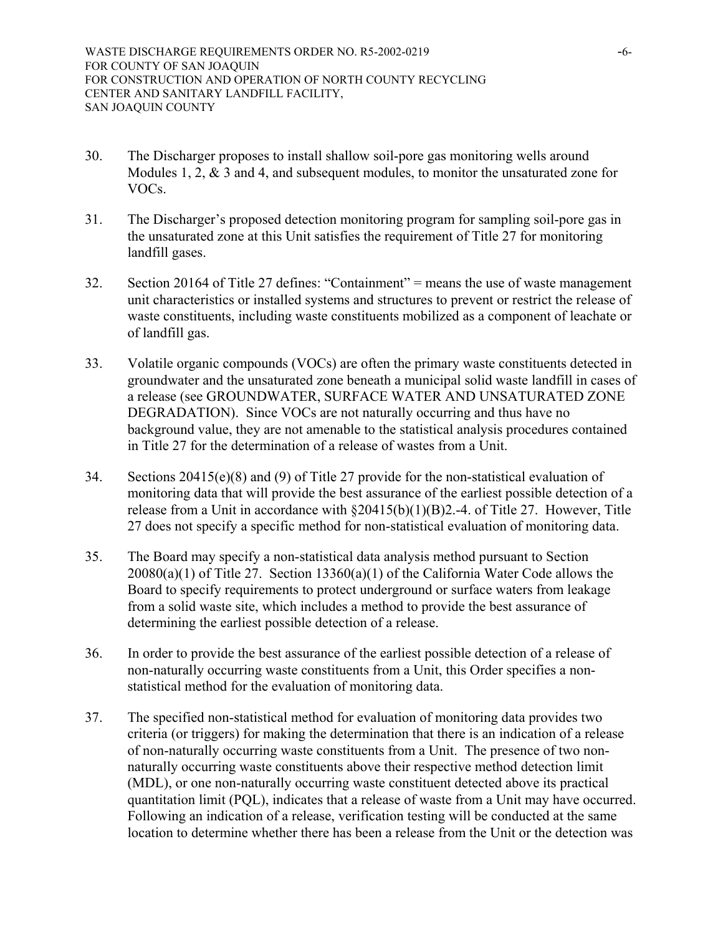- 30. The Discharger proposes to install shallow soil-pore gas monitoring wells around Modules 1, 2, & 3 and 4, and subsequent modules, to monitor the unsaturated zone for VOCs.
- 31. The Discharger's proposed detection monitoring program for sampling soil-pore gas in the unsaturated zone at this Unit satisfies the requirement of Title 27 for monitoring landfill gases.
- 32. Section 20164 of Title 27 defines: "Containment" = means the use of waste management unit characteristics or installed systems and structures to prevent or restrict the release of waste constituents, including waste constituents mobilized as a component of leachate or of landfill gas.
- 33. Volatile organic compounds (VOCs) are often the primary waste constituents detected in groundwater and the unsaturated zone beneath a municipal solid waste landfill in cases of a release (see GROUNDWATER, SURFACE WATER AND UNSATURATED ZONE DEGRADATION). Since VOCs are not naturally occurring and thus have no background value, they are not amenable to the statistical analysis procedures contained in Title 27 for the determination of a release of wastes from a Unit.
- 34. Sections 20415(e)(8) and (9) of Title 27 provide for the non-statistical evaluation of monitoring data that will provide the best assurance of the earliest possible detection of a release from a Unit in accordance with  $\S20415(b)(1)(B)2.-4$ . of Title 27. However, Title 27 does not specify a specific method for non-statistical evaluation of monitoring data.
- 35. The Board may specify a non-statistical data analysis method pursuant to Section  $20080(a)(1)$  of Title 27. Section 13360(a)(1) of the California Water Code allows the Board to specify requirements to protect underground or surface waters from leakage from a solid waste site, which includes a method to provide the best assurance of determining the earliest possible detection of a release.
- 36. In order to provide the best assurance of the earliest possible detection of a release of non-naturally occurring waste constituents from a Unit, this Order specifies a nonstatistical method for the evaluation of monitoring data.
- 37. The specified non-statistical method for evaluation of monitoring data provides two criteria (or triggers) for making the determination that there is an indication of a release of non-naturally occurring waste constituents from a Unit. The presence of two nonnaturally occurring waste constituents above their respective method detection limit (MDL), or one non-naturally occurring waste constituent detected above its practical quantitation limit (PQL), indicates that a release of waste from a Unit may have occurred. Following an indication of a release, verification testing will be conducted at the same location to determine whether there has been a release from the Unit or the detection was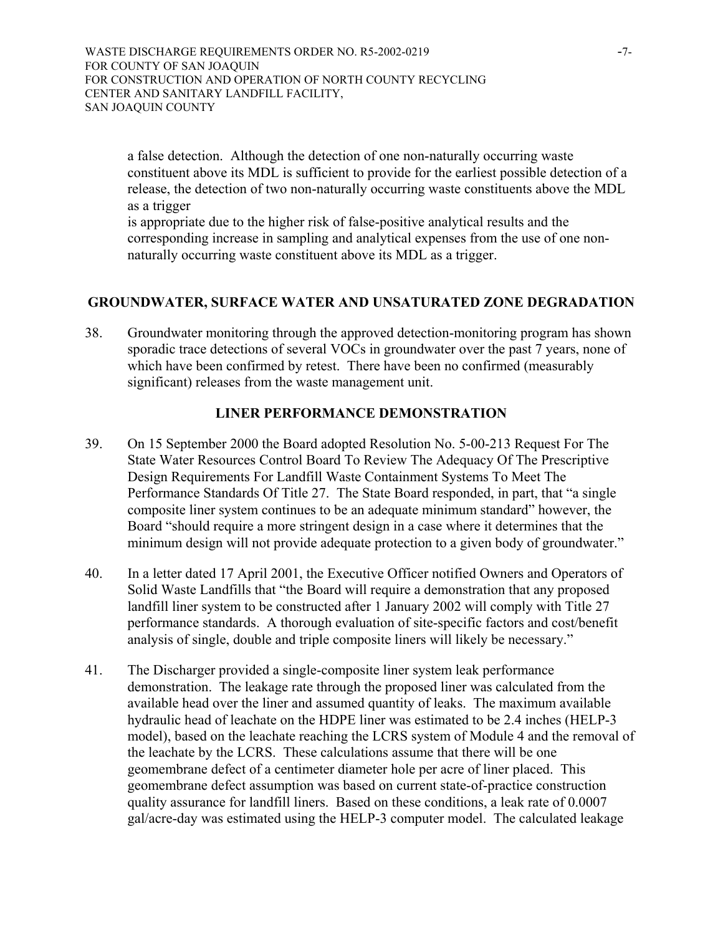WASTE DISCHARGE REQUIREMENTS ORDER NO. R5-2002-0219 -7-FOR COUNTY OF SAN JOAQUIN FOR CONSTRUCTION AND OPERATION OF NORTH COUNTY RECYCLING CENTER AND SANITARY LANDFILL FACILITY, SAN JOAQUIN COUNTY

a false detection. Although the detection of one non-naturally occurring waste constituent above its MDL is sufficient to provide for the earliest possible detection of a release, the detection of two non-naturally occurring waste constituents above the MDL as a trigger

is appropriate due to the higher risk of false-positive analytical results and the corresponding increase in sampling and analytical expenses from the use of one nonnaturally occurring waste constituent above its MDL as a trigger.

# **GROUNDWATER, SURFACE WATER AND UNSATURATED ZONE DEGRADATION**

38. Groundwater monitoring through the approved detection-monitoring program has shown sporadic trace detections of several VOCs in groundwater over the past 7 years, none of which have been confirmed by retest. There have been no confirmed (measurably significant) releases from the waste management unit.

## **LINER PERFORMANCE DEMONSTRATION**

- 39. On 15 September 2000 the Board adopted Resolution No. 5-00-213 Request For The State Water Resources Control Board To Review The Adequacy Of The Prescriptive Design Requirements For Landfill Waste Containment Systems To Meet The Performance Standards Of Title 27. The State Board responded, in part, that "a single composite liner system continues to be an adequate minimum standard" however, the Board "should require a more stringent design in a case where it determines that the minimum design will not provide adequate protection to a given body of groundwater."
- 40. In a letter dated 17 April 2001, the Executive Officer notified Owners and Operators of Solid Waste Landfills that "the Board will require a demonstration that any proposed landfill liner system to be constructed after 1 January 2002 will comply with Title 27 performance standards. A thorough evaluation of site-specific factors and cost/benefit analysis of single, double and triple composite liners will likely be necessary."
- 41. The Discharger provided a single-composite liner system leak performance demonstration. The leakage rate through the proposed liner was calculated from the available head over the liner and assumed quantity of leaks. The maximum available hydraulic head of leachate on the HDPE liner was estimated to be 2.4 inches (HELP-3 model), based on the leachate reaching the LCRS system of Module 4 and the removal of the leachate by the LCRS. These calculations assume that there will be one geomembrane defect of a centimeter diameter hole per acre of liner placed. This geomembrane defect assumption was based on current state-of-practice construction quality assurance for landfill liners. Based on these conditions, a leak rate of 0.0007 gal/acre-day was estimated using the HELP-3 computer model. The calculated leakage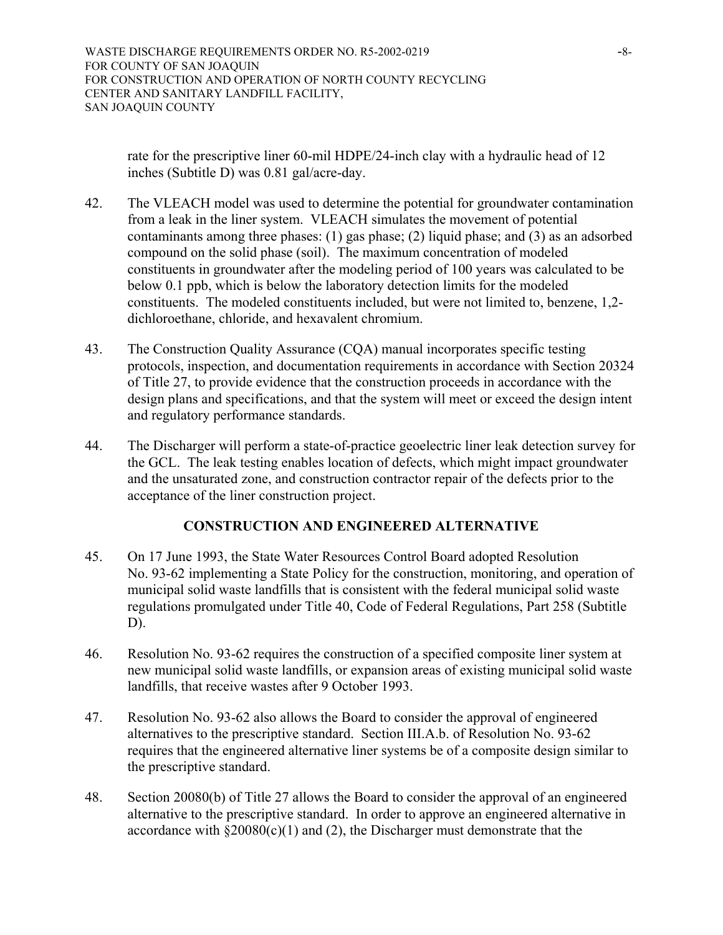rate for the prescriptive liner 60-mil HDPE/24-inch clay with a hydraulic head of 12 inches (Subtitle D) was 0.81 gal/acre-day.

- 42. The VLEACH model was used to determine the potential for groundwater contamination from a leak in the liner system. VLEACH simulates the movement of potential contaminants among three phases: (1) gas phase; (2) liquid phase; and (3) as an adsorbed compound on the solid phase (soil). The maximum concentration of modeled constituents in groundwater after the modeling period of 100 years was calculated to be below 0.1 ppb, which is below the laboratory detection limits for the modeled constituents. The modeled constituents included, but were not limited to, benzene, 1,2 dichloroethane, chloride, and hexavalent chromium.
- 43. The Construction Quality Assurance (CQA) manual incorporates specific testing protocols, inspection, and documentation requirements in accordance with Section 20324 of Title 27, to provide evidence that the construction proceeds in accordance with the design plans and specifications, and that the system will meet or exceed the design intent and regulatory performance standards.
- 44. The Discharger will perform a state-of-practice geoelectric liner leak detection survey for the GCL. The leak testing enables location of defects, which might impact groundwater and the unsaturated zone, and construction contractor repair of the defects prior to the acceptance of the liner construction project.

## **CONSTRUCTION AND ENGINEERED ALTERNATIVE**

- 45. On 17 June 1993, the State Water Resources Control Board adopted Resolution No. 93-62 implementing a State Policy for the construction, monitoring, and operation of municipal solid waste landfills that is consistent with the federal municipal solid waste regulations promulgated under Title 40, Code of Federal Regulations, Part 258 (Subtitle D).
- 46. Resolution No. 93-62 requires the construction of a specified composite liner system at new municipal solid waste landfills, or expansion areas of existing municipal solid waste landfills, that receive wastes after 9 October 1993.
- 47. Resolution No. 93-62 also allows the Board to consider the approval of engineered alternatives to the prescriptive standard. Section III.A.b. of Resolution No. 93-62 requires that the engineered alternative liner systems be of a composite design similar to the prescriptive standard.
- 48. Section 20080(b) of Title 27 allows the Board to consider the approval of an engineered alternative to the prescriptive standard. In order to approve an engineered alternative in accordance with  $\S 20080(c)(1)$  and (2), the Discharger must demonstrate that the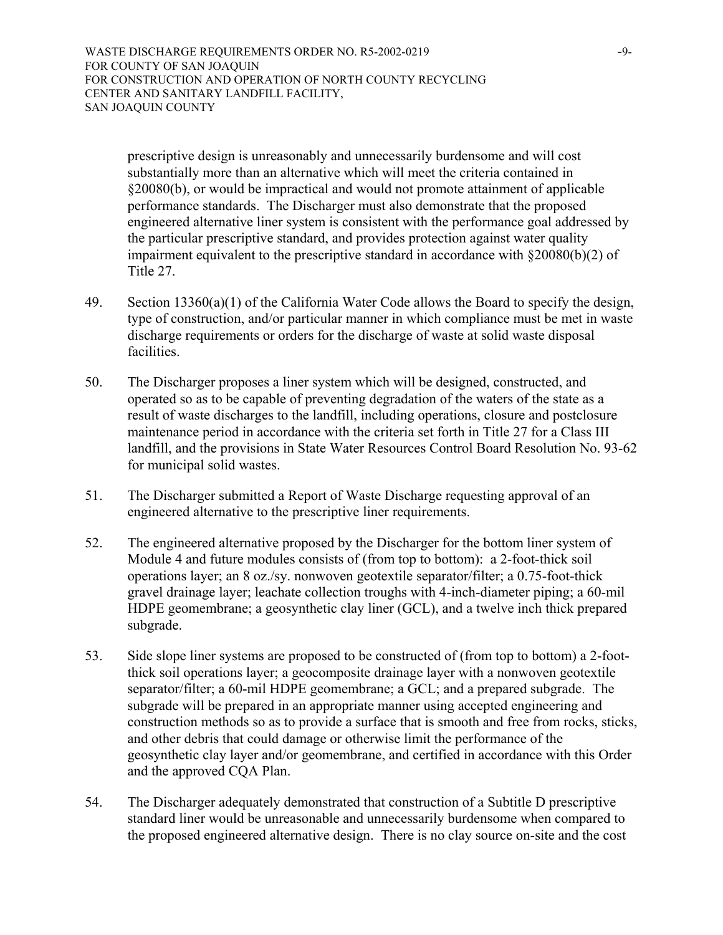WASTE DISCHARGE REQUIREMENTS ORDER NO. R5-2002-0219 -9-FOR COUNTY OF SAN JOAQUIN FOR CONSTRUCTION AND OPERATION OF NORTH COUNTY RECYCLING CENTER AND SANITARY LANDFILL FACILITY, SAN JOAQUIN COUNTY

prescriptive design is unreasonably and unnecessarily burdensome and will cost substantially more than an alternative which will meet the criteria contained in §20080(b), or would be impractical and would not promote attainment of applicable performance standards. The Discharger must also demonstrate that the proposed engineered alternative liner system is consistent with the performance goal addressed by the particular prescriptive standard, and provides protection against water quality impairment equivalent to the prescriptive standard in accordance with §20080(b)(2) of Title 27.

- 49. Section  $13360(a)(1)$  of the California Water Code allows the Board to specify the design, type of construction, and/or particular manner in which compliance must be met in waste discharge requirements or orders for the discharge of waste at solid waste disposal facilities.
- 50. The Discharger proposes a liner system which will be designed, constructed, and operated so as to be capable of preventing degradation of the waters of the state as a result of waste discharges to the landfill, including operations, closure and postclosure maintenance period in accordance with the criteria set forth in Title 27 for a Class III landfill, and the provisions in State Water Resources Control Board Resolution No. 93-62 for municipal solid wastes.
- 51. The Discharger submitted a Report of Waste Discharge requesting approval of an engineered alternative to the prescriptive liner requirements.
- 52. The engineered alternative proposed by the Discharger for the bottom liner system of Module 4 and future modules consists of (from top to bottom): a 2-foot-thick soil operations layer; an 8 oz./sy. nonwoven geotextile separator/filter; a 0.75-foot-thick gravel drainage layer; leachate collection troughs with 4-inch-diameter piping; a 60-mil HDPE geomembrane; a geosynthetic clay liner (GCL), and a twelve inch thick prepared subgrade.
- 53. Side slope liner systems are proposed to be constructed of (from top to bottom) a 2-footthick soil operations layer; a geocomposite drainage layer with a nonwoven geotextile separator/filter; a 60-mil HDPE geomembrane; a GCL; and a prepared subgrade. The subgrade will be prepared in an appropriate manner using accepted engineering and construction methods so as to provide a surface that is smooth and free from rocks, sticks, and other debris that could damage or otherwise limit the performance of the geosynthetic clay layer and/or geomembrane, and certified in accordance with this Order and the approved CQA Plan.
- 54. The Discharger adequately demonstrated that construction of a Subtitle D prescriptive standard liner would be unreasonable and unnecessarily burdensome when compared to the proposed engineered alternative design. There is no clay source on-site and the cost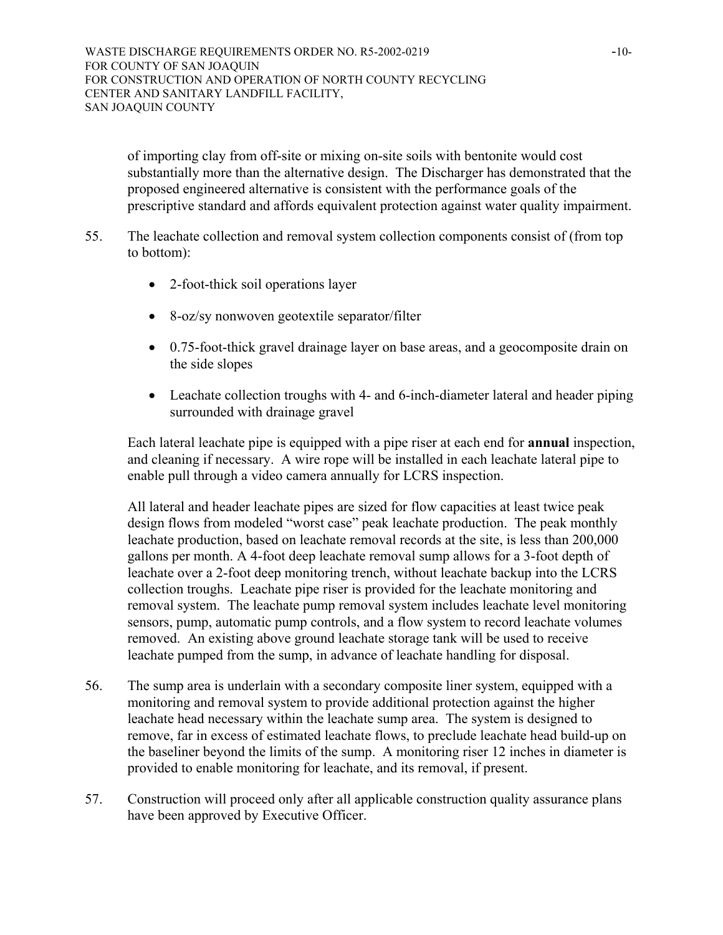WASTE DISCHARGE REQUIREMENTS ORDER NO. R5-2002-0219 -10-FOR COUNTY OF SAN JOAQUIN FOR CONSTRUCTION AND OPERATION OF NORTH COUNTY RECYCLING CENTER AND SANITARY LANDFILL FACILITY, SAN JOAQUIN COUNTY

of importing clay from off-site or mixing on-site soils with bentonite would cost substantially more than the alternative design. The Discharger has demonstrated that the proposed engineered alternative is consistent with the performance goals of the prescriptive standard and affords equivalent protection against water quality impairment.

- 55. The leachate collection and removal system collection components consist of (from top to bottom):
	- 2-foot-thick soil operations layer
	- 8-oz/sy nonwoven geotextile separator/filter
	- 0.75-foot-thick gravel drainage layer on base areas, and a geocomposite drain on the side slopes
	- Leachate collection troughs with 4- and 6-inch-diameter lateral and header piping surrounded with drainage gravel

Each lateral leachate pipe is equipped with a pipe riser at each end for **annual** inspection, and cleaning if necessary. A wire rope will be installed in each leachate lateral pipe to enable pull through a video camera annually for LCRS inspection.

All lateral and header leachate pipes are sized for flow capacities at least twice peak design flows from modeled "worst case" peak leachate production. The peak monthly leachate production, based on leachate removal records at the site, is less than 200,000 gallons per month. A 4-foot deep leachate removal sump allows for a 3-foot depth of leachate over a 2-foot deep monitoring trench, without leachate backup into the LCRS collection troughs. Leachate pipe riser is provided for the leachate monitoring and removal system. The leachate pump removal system includes leachate level monitoring sensors, pump, automatic pump controls, and a flow system to record leachate volumes removed. An existing above ground leachate storage tank will be used to receive leachate pumped from the sump, in advance of leachate handling for disposal.

- 56. The sump area is underlain with a secondary composite liner system, equipped with a monitoring and removal system to provide additional protection against the higher leachate head necessary within the leachate sump area. The system is designed to remove, far in excess of estimated leachate flows, to preclude leachate head build-up on the baseliner beyond the limits of the sump. A monitoring riser 12 inches in diameter is provided to enable monitoring for leachate, and its removal, if present.
- 57. Construction will proceed only after all applicable construction quality assurance plans have been approved by Executive Officer.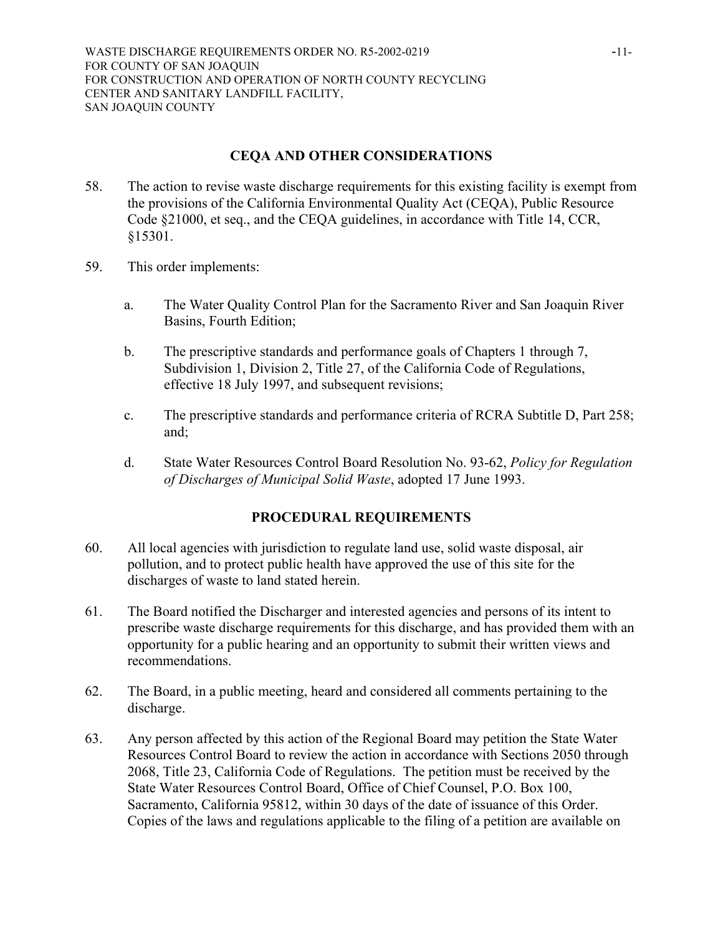# **CEQA AND OTHER CONSIDERATIONS**

- 58. The action to revise waste discharge requirements for this existing facility is exempt from the provisions of the California Environmental Quality Act (CEQA), Public Resource Code §21000, et seq., and the CEQA guidelines, in accordance with Title 14, CCR, §15301.
- 59. This order implements:
	- a. The Water Quality Control Plan for the Sacramento River and San Joaquin River Basins, Fourth Edition;
	- b. The prescriptive standards and performance goals of Chapters 1 through 7, Subdivision 1, Division 2, Title 27, of the California Code of Regulations, effective 18 July 1997, and subsequent revisions;
	- c. The prescriptive standards and performance criteria of RCRA Subtitle D, Part 258; and;
	- d. State Water Resources Control Board Resolution No. 93-62, *Policy for Regulation of Discharges of Municipal Solid Waste*, adopted 17 June 1993.

# **PROCEDURAL REQUIREMENTS**

- 60. All local agencies with jurisdiction to regulate land use, solid waste disposal, air pollution, and to protect public health have approved the use of this site for the discharges of waste to land stated herein.
- 61. The Board notified the Discharger and interested agencies and persons of its intent to prescribe waste discharge requirements for this discharge, and has provided them with an opportunity for a public hearing and an opportunity to submit their written views and recommendations.
- 62. The Board, in a public meeting, heard and considered all comments pertaining to the discharge.
- 63. Any person affected by this action of the Regional Board may petition the State Water Resources Control Board to review the action in accordance with Sections 2050 through 2068, Title 23, California Code of Regulations. The petition must be received by the State Water Resources Control Board, Office of Chief Counsel, P.O. Box 100, Sacramento, California 95812, within 30 days of the date of issuance of this Order. Copies of the laws and regulations applicable to the filing of a petition are available on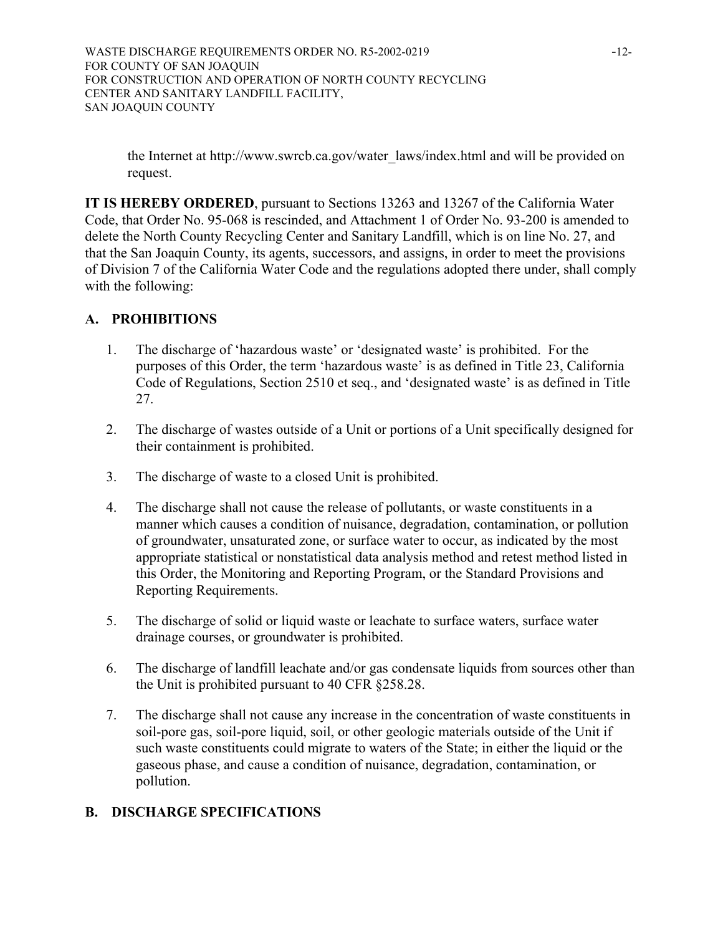WASTE DISCHARGE REQUIREMENTS ORDER NO. R5-2002-0219 -12-FOR COUNTY OF SAN JOAQUIN FOR CONSTRUCTION AND OPERATION OF NORTH COUNTY RECYCLING CENTER AND SANITARY LANDFILL FACILITY, SAN JOAQUIN COUNTY

the Internet at [http://www.swrcb.ca.gov/water\\_laws/index.html](http://www.swrcb.ca.gov/water_laws/index.html) and will be provided on request.

**IT IS HEREBY ORDERED**, pursuant to Sections 13263 and 13267 of the California Water Code, that Order No. 95-068 is rescinded, and Attachment 1 of Order No. 93-200 is amended to delete the North County Recycling Center and Sanitary Landfill, which is on line No. 27, and that the San Joaquin County, its agents, successors, and assigns, in order to meet the provisions of Division 7 of the California Water Code and the regulations adopted there under, shall comply with the following:

# **A. PROHIBITIONS**

- 1. The discharge of 'hazardous waste' or 'designated waste' is prohibited. For the purposes of this Order, the term 'hazardous waste' is as defined in Title 23, California Code of Regulations, Section 2510 et seq., and 'designated waste' is as defined in Title 27.
- 2. The discharge of wastes outside of a Unit or portions of a Unit specifically designed for their containment is prohibited.
- 3. The discharge of waste to a closed Unit is prohibited.
- 4. The discharge shall not cause the release of pollutants, or waste constituents in a manner which causes a condition of nuisance, degradation, contamination, or pollution of groundwater, unsaturated zone, or surface water to occur, as indicated by the most appropriate statistical or nonstatistical data analysis method and retest method listed in this Order, the Monitoring and Reporting Program, or the Standard Provisions and Reporting Requirements.
- 5. The discharge of solid or liquid waste or leachate to surface waters, surface water drainage courses, or groundwater is prohibited.
- 6. The discharge of landfill leachate and/or gas condensate liquids from sources other than the Unit is prohibited pursuant to 40 CFR §258.28.
- 7. The discharge shall not cause any increase in the concentration of waste constituents in soil-pore gas, soil-pore liquid, soil, or other geologic materials outside of the Unit if such waste constituents could migrate to waters of the State; in either the liquid or the gaseous phase, and cause a condition of nuisance, degradation, contamination, or pollution.

# **B. DISCHARGE SPECIFICATIONS**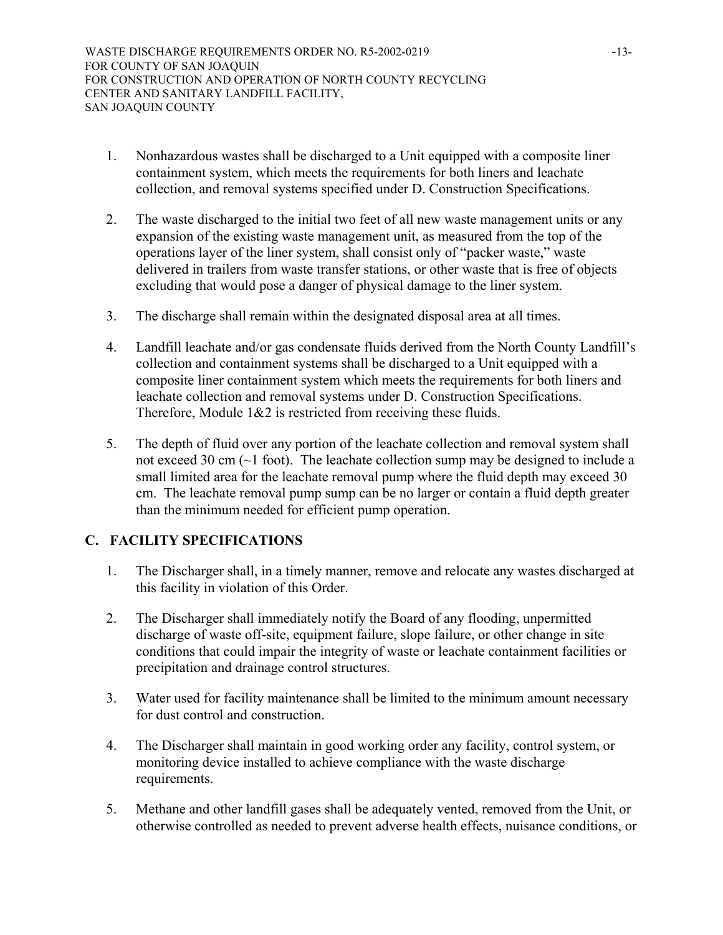- 1. Nonhazardous wastes shall be discharged to a Unit equipped with a composite liner containment system, which meets the requirements for both liners and leachate collection, and removal systems specified under D. Construction Specifications.
- 2. The waste discharged to the initial two feet of all new waste management units or any expansion of the existing waste management unit, as measured from the top of the operations layer of the liner system, shall consist only of "packer waste," waste delivered in trailers from waste transfer stations, or other waste that is free of objects excluding that would pose a danger of physical damage to the liner system.
- 3. The discharge shall remain within the designated disposal area at all times.
- 4. Landfill leachate and/or gas condensate fluids derived from the North County Landfill's collection and containment systems shall be discharged to a Unit equipped with a composite liner containment system which meets the requirements for both liners and leachate collection and removal systems under D. Construction Specifications. Therefore, Module 1&2 is restricted from receiving these fluids.
- 5. The depth of fluid over any portion of the leachate collection and removal system shall not exceed 30 cm (~1 foot). The leachate collection sump may be designed to include a small limited area for the leachate removal pump where the fluid depth may exceed 30 cm. The leachate removal pump sump can be no larger or contain a fluid depth greater than the minimum needed for efficient pump operation.

# **C. FACILITY SPECIFICATIONS**

- 1. The Discharger shall, in a timely manner, remove and relocate any wastes discharged at this facility in violation of this Order.
- 2. The Discharger shall immediately notify the Board of any flooding, unpermitted discharge of waste off-site, equipment failure, slope failure, or other change in site conditions that could impair the integrity of waste or leachate containment facilities or precipitation and drainage control structures.
- 3. Water used for facility maintenance shall be limited to the minimum amount necessary for dust control and construction.
- 4. The Discharger shall maintain in good working order any facility, control system, or monitoring device installed to achieve compliance with the waste discharge requirements.
- 5. Methane and other landfill gases shall be adequately vented, removed from the Unit, or otherwise controlled as needed to prevent adverse health effects, nuisance conditions, or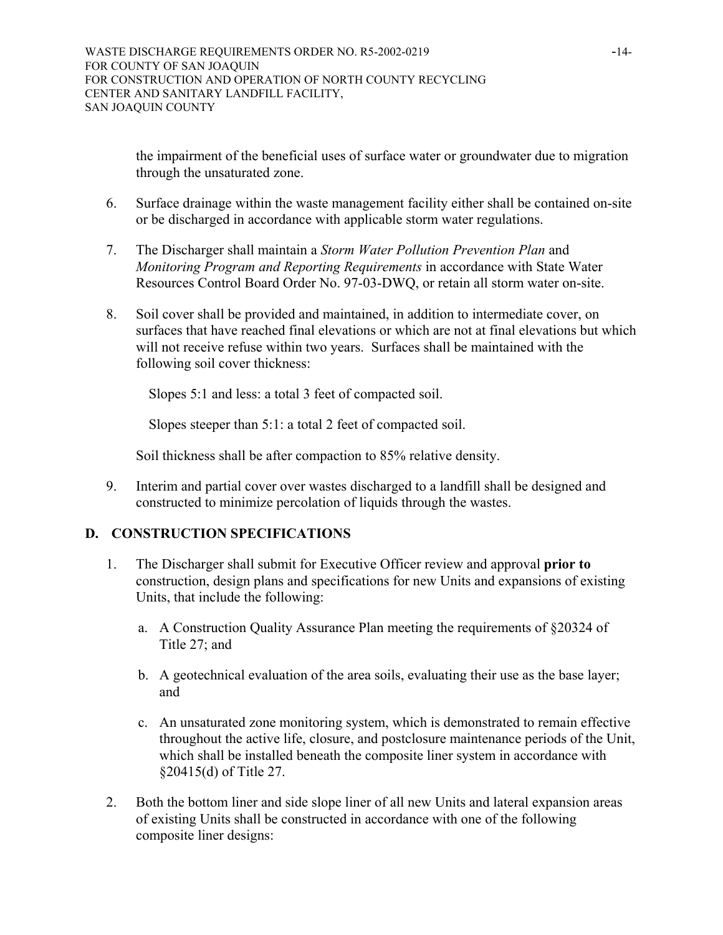the impairment of the beneficial uses of surface water or groundwater due to migration through the unsaturated zone.

- 6. Surface drainage within the waste management facility either shall be contained on-site or be discharged in accordance with applicable storm water regulations.
- 7. The Discharger shall maintain a *Storm Water Pollution Prevention Plan* and *Monitoring Program and Reporting Requirements* in accordance with State Water Resources Control Board Order No. 97-03-DWQ, or retain all storm water on-site.
- 8. Soil cover shall be provided and maintained, in addition to intermediate cover, on surfaces that have reached final elevations or which are not at final elevations but which will not receive refuse within two years. Surfaces shall be maintained with the following soil cover thickness:

Slopes 5:1 and less: a total 3 feet of compacted soil.

Slopes steeper than 5:1: a total 2 feet of compacted soil.

Soil thickness shall be after compaction to 85% relative density.

9. Interim and partial cover over wastes discharged to a landfill shall be designed and constructed to minimize percolation of liquids through the wastes.

# **D. CONSTRUCTION SPECIFICATIONS**

- 1. The Discharger shall submit for Executive Officer review and approval **prior to** construction, design plans and specifications for new Units and expansions of existing Units, that include the following:
	- a. A Construction Quality Assurance Plan meeting the requirements of §20324 of Title 27; and
	- b. A geotechnical evaluation of the area soils, evaluating their use as the base layer; and
	- c. An unsaturated zone monitoring system, which is demonstrated to remain effective throughout the active life, closure, and postclosure maintenance periods of the Unit, which shall be installed beneath the composite liner system in accordance with §20415(d) of Title 27.
- 2. Both the bottom liner and side slope liner of all new Units and lateral expansion areas of existing Units shall be constructed in accordance with one of the following composite liner designs: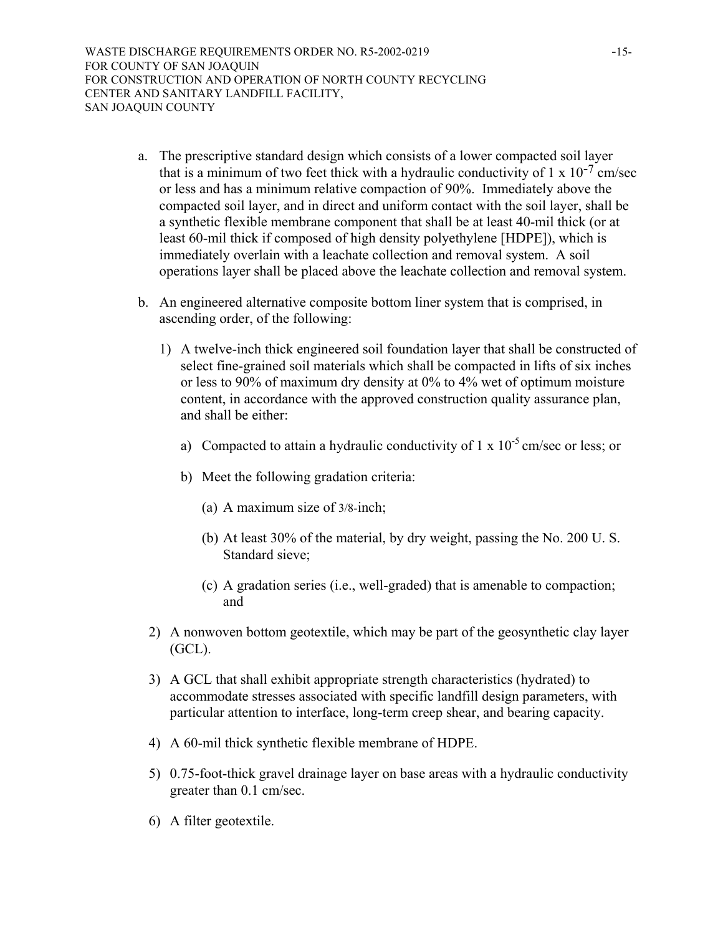WASTE DISCHARGE REQUIREMENTS ORDER NO. R5-2002-0219 -15-FOR COUNTY OF SAN JOAQUIN FOR CONSTRUCTION AND OPERATION OF NORTH COUNTY RECYCLING CENTER AND SANITARY LANDFILL FACILITY, SAN JOAQUIN COUNTY

- a. The prescriptive standard design which consists of a lower compacted soil layer that is a minimum of two feet thick with a hydraulic conductivity of 1 x  $10^{-7}$  cm/sec or less and has a minimum relative compaction of 90%. Immediately above the compacted soil layer, and in direct and uniform contact with the soil layer, shall be a synthetic flexible membrane component that shall be at least 40-mil thick (or at least 60-mil thick if composed of high density polyethylene [HDPE]), which is immediately overlain with a leachate collection and removal system. A soil operations layer shall be placed above the leachate collection and removal system.
- b. An engineered alternative composite bottom liner system that is comprised, in ascending order, of the following:
	- 1) A twelve-inch thick engineered soil foundation layer that shall be constructed of select fine-grained soil materials which shall be compacted in lifts of six inches or less to 90% of maximum dry density at 0% to 4% wet of optimum moisture content, in accordance with the approved construction quality assurance plan, and shall be either:
		- a) Compacted to attain a hydraulic conductivity of  $1 \times 10^{-5}$  cm/sec or less; or
		- b) Meet the following gradation criteria:
			- (a) A maximum size of 3/8-inch;
			- (b) At least 30% of the material, by dry weight, passing the No. 200 U. S. Standard sieve;
			- (c) A gradation series (i.e., well-graded) that is amenable to compaction; and
	- 2) A nonwoven bottom geotextile, which may be part of the geosynthetic clay layer (GCL).
	- 3) A GCL that shall exhibit appropriate strength characteristics (hydrated) to accommodate stresses associated with specific landfill design parameters, with particular attention to interface, long-term creep shear, and bearing capacity.
	- 4) A 60-mil thick synthetic flexible membrane of HDPE.
	- 5) 0.75-foot-thick gravel drainage layer on base areas with a hydraulic conductivity greater than 0.1 cm/sec.
	- 6) A filter geotextile.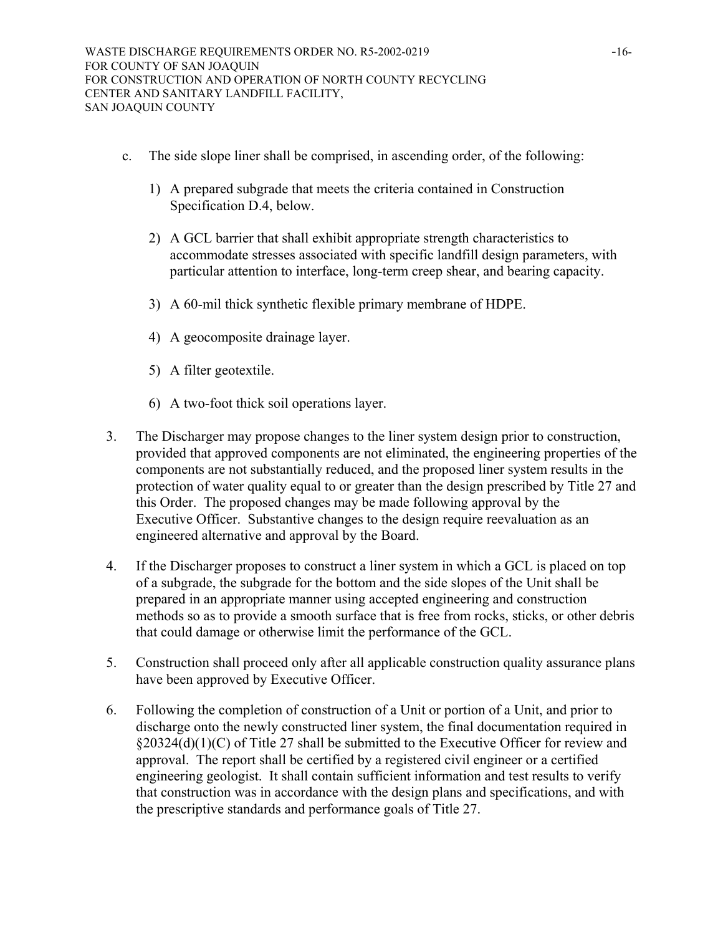- c. The side slope liner shall be comprised, in ascending order, of the following:
	- 1) A prepared subgrade that meets the criteria contained in Construction Specification D.4, below.
	- 2) A GCL barrier that shall exhibit appropriate strength characteristics to accommodate stresses associated with specific landfill design parameters, with particular attention to interface, long-term creep shear, and bearing capacity.
	- 3) A 60-mil thick synthetic flexible primary membrane of HDPE.
	- 4) A geocomposite drainage layer.
	- 5) A filter geotextile.
	- 6) A two-foot thick soil operations layer.
- 3. The Discharger may propose changes to the liner system design prior to construction, provided that approved components are not eliminated, the engineering properties of the components are not substantially reduced, and the proposed liner system results in the protection of water quality equal to or greater than the design prescribed by Title 27 and this Order. The proposed changes may be made following approval by the Executive Officer. Substantive changes to the design require reevaluation as an engineered alternative and approval by the Board.
- 4. If the Discharger proposes to construct a liner system in which a GCL is placed on top of a subgrade, the subgrade for the bottom and the side slopes of the Unit shall be prepared in an appropriate manner using accepted engineering and construction methods so as to provide a smooth surface that is free from rocks, sticks, or other debris that could damage or otherwise limit the performance of the GCL.
- 5. Construction shall proceed only after all applicable construction quality assurance plans have been approved by Executive Officer.
- 6. Following the completion of construction of a Unit or portion of a Unit, and prior to discharge onto the newly constructed liner system, the final documentation required in  $\S20324(d)(1)(C)$  of Title 27 shall be submitted to the Executive Officer for review and approval. The report shall be certified by a registered civil engineer or a certified engineering geologist. It shall contain sufficient information and test results to verify that construction was in accordance with the design plans and specifications, and with the prescriptive standards and performance goals of Title 27.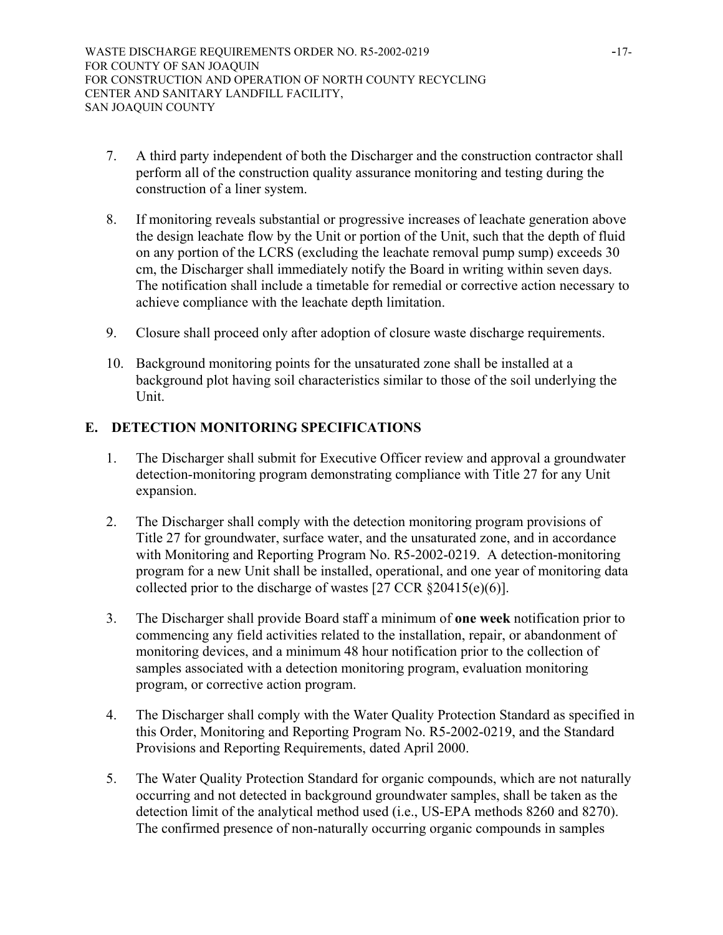- 7. A third party independent of both the Discharger and the construction contractor shall perform all of the construction quality assurance monitoring and testing during the construction of a liner system.
- 8. If monitoring reveals substantial or progressive increases of leachate generation above the design leachate flow by the Unit or portion of the Unit, such that the depth of fluid on any portion of the LCRS (excluding the leachate removal pump sump) exceeds 30 cm, the Discharger shall immediately notify the Board in writing within seven days. The notification shall include a timetable for remedial or corrective action necessary to achieve compliance with the leachate depth limitation.
- 9. Closure shall proceed only after adoption of closure waste discharge requirements.
- 10. Background monitoring points for the unsaturated zone shall be installed at a background plot having soil characteristics similar to those of the soil underlying the Unit.

# **E. DETECTION MONITORING SPECIFICATIONS**

- 1. The Discharger shall submit for Executive Officer review and approval a groundwater detection-monitoring program demonstrating compliance with Title 27 for any Unit expansion.
- 2. The Discharger shall comply with the detection monitoring program provisions of Title 27 for groundwater, surface water, and the unsaturated zone, and in accordance with Monitoring and Reporting Program No. R5-2002-0219. A detection-monitoring program for a new Unit shall be installed, operational, and one year of monitoring data collected prior to the discharge of wastes [27 CCR §20415(e)(6)].
- 3. The Discharger shall provide Board staff a minimum of **one week** notification prior to commencing any field activities related to the installation, repair, or abandonment of monitoring devices, and a minimum 48 hour notification prior to the collection of samples associated with a detection monitoring program, evaluation monitoring program, or corrective action program.
- 4. The Discharger shall comply with the Water Quality Protection Standard as specified in this Order, Monitoring and Reporting Program No. R5-2002-0219, and the Standard Provisions and Reporting Requirements, dated April 2000.
- 5. The Water Quality Protection Standard for organic compounds, which are not naturally occurring and not detected in background groundwater samples, shall be taken as the detection limit of the analytical method used (i.e., US-EPA methods 8260 and 8270). The confirmed presence of non-naturally occurring organic compounds in samples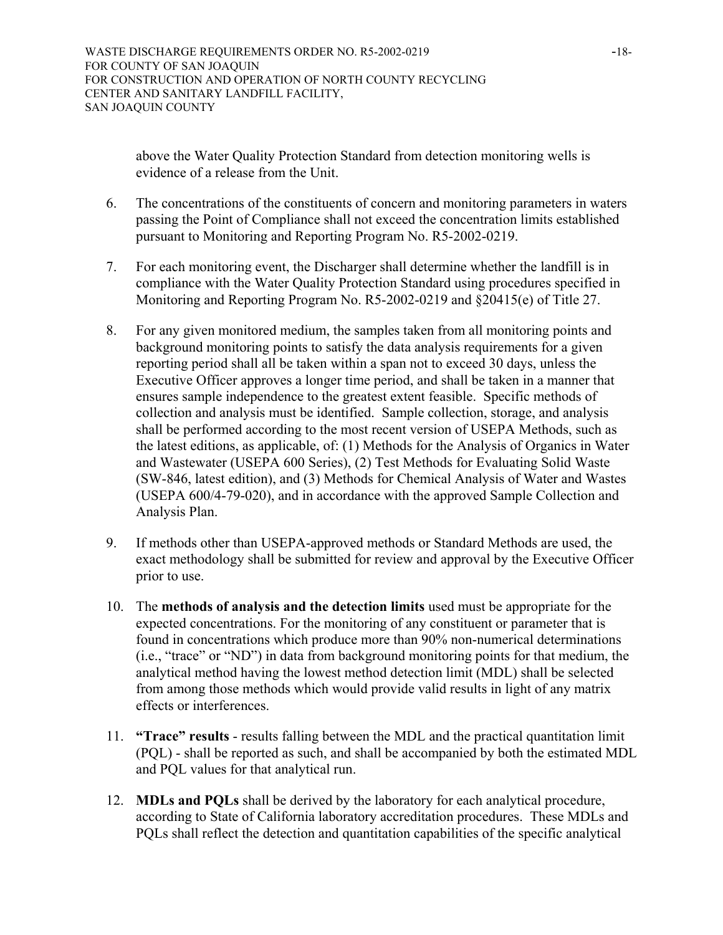above the Water Quality Protection Standard from detection monitoring wells is evidence of a release from the Unit.

- 6. The concentrations of the constituents of concern and monitoring parameters in waters passing the Point of Compliance shall not exceed the concentration limits established pursuant to Monitoring and Reporting Program No. R5-2002-0219.
- 7. For each monitoring event, the Discharger shall determine whether the landfill is in compliance with the Water Quality Protection Standard using procedures specified in Monitoring and Reporting Program No. R5-2002-0219 and §20415(e) of Title 27.
- 8. For any given monitored medium, the samples taken from all monitoring points and background monitoring points to satisfy the data analysis requirements for a given reporting period shall all be taken within a span not to exceed 30 days, unless the Executive Officer approves a longer time period, and shall be taken in a manner that ensures sample independence to the greatest extent feasible. Specific methods of collection and analysis must be identified. Sample collection, storage, and analysis shall be performed according to the most recent version of USEPA Methods, such as the latest editions, as applicable, of: (1) Methods for the Analysis of Organics in Water and Wastewater (USEPA 600 Series), (2) Test Methods for Evaluating Solid Waste (SW-846, latest edition), and (3) Methods for Chemical Analysis of Water and Wastes (USEPA 600/4-79-020), and in accordance with the approved Sample Collection and Analysis Plan.
- 9. If methods other than USEPA-approved methods or Standard Methods are used, the exact methodology shall be submitted for review and approval by the Executive Officer prior to use.
- 10. The **methods of analysis and the detection limits** used must be appropriate for the expected concentrations. For the monitoring of any constituent or parameter that is found in concentrations which produce more than 90% non-numerical determinations (i.e., "trace" or "ND") in data from background monitoring points for that medium, the analytical method having the lowest method detection limit (MDL) shall be selected from among those methods which would provide valid results in light of any matrix effects or interferences.
- 11. **"Trace" results** results falling between the MDL and the practical quantitation limit (PQL) - shall be reported as such, and shall be accompanied by both the estimated MDL and PQL values for that analytical run.
- 12. **MDLs and PQLs** shall be derived by the laboratory for each analytical procedure, according to State of California laboratory accreditation procedures. These MDLs and PQLs shall reflect the detection and quantitation capabilities of the specific analytical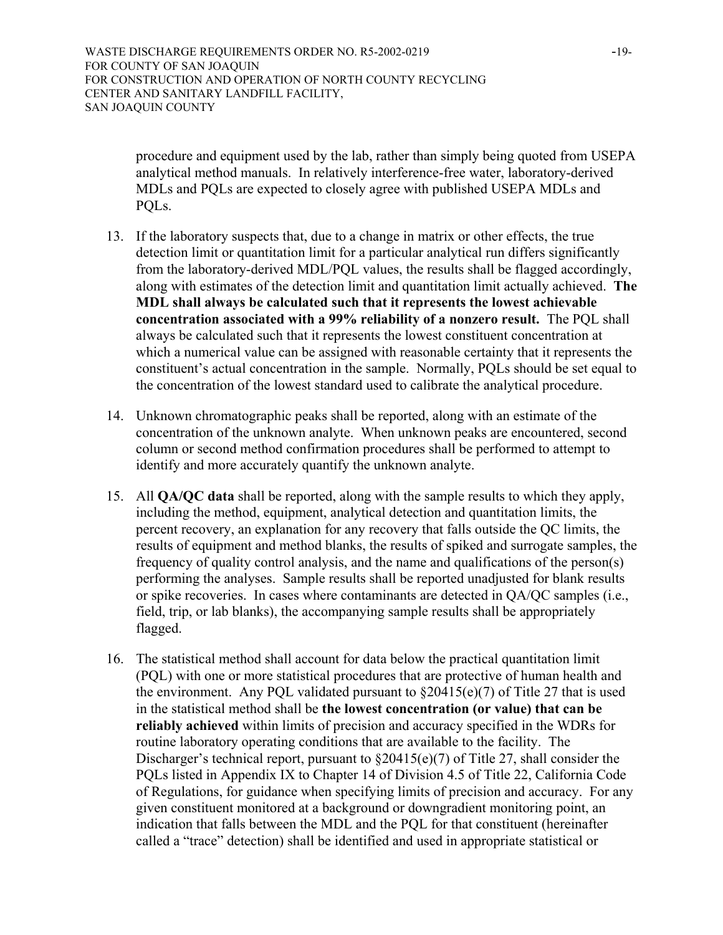WASTE DISCHARGE REQUIREMENTS ORDER NO. R5-2002-0219 -19-FOR COUNTY OF SAN JOAQUIN FOR CONSTRUCTION AND OPERATION OF NORTH COUNTY RECYCLING CENTER AND SANITARY LANDFILL FACILITY, SAN JOAQUIN COUNTY

procedure and equipment used by the lab, rather than simply being quoted from USEPA analytical method manuals. In relatively interference-free water, laboratory-derived MDLs and PQLs are expected to closely agree with published USEPA MDLs and PQLs.

- 13. If the laboratory suspects that, due to a change in matrix or other effects, the true detection limit or quantitation limit for a particular analytical run differs significantly from the laboratory-derived MDL/PQL values, the results shall be flagged accordingly, along with estimates of the detection limit and quantitation limit actually achieved. **The MDL shall always be calculated such that it represents the lowest achievable concentration associated with a 99% reliability of a nonzero result.** The PQL shall always be calculated such that it represents the lowest constituent concentration at which a numerical value can be assigned with reasonable certainty that it represents the constituent's actual concentration in the sample. Normally, PQLs should be set equal to the concentration of the lowest standard used to calibrate the analytical procedure.
- 14. Unknown chromatographic peaks shall be reported, along with an estimate of the concentration of the unknown analyte. When unknown peaks are encountered, second column or second method confirmation procedures shall be performed to attempt to identify and more accurately quantify the unknown analyte.
- 15. All **QA/QC data** shall be reported, along with the sample results to which they apply, including the method, equipment, analytical detection and quantitation limits, the percent recovery, an explanation for any recovery that falls outside the QC limits, the results of equipment and method blanks, the results of spiked and surrogate samples, the frequency of quality control analysis, and the name and qualifications of the person(s) performing the analyses. Sample results shall be reported unadjusted for blank results or spike recoveries. In cases where contaminants are detected in QA/QC samples (i.e., field, trip, or lab blanks), the accompanying sample results shall be appropriately flagged.
- 16. The statistical method shall account for data below the practical quantitation limit (PQL) with one or more statistical procedures that are protective of human health and the environment. Any PQL validated pursuant to  $\S20415(e)(7)$  of Title 27 that is used in the statistical method shall be **the lowest concentration (or value) that can be reliably achieved** within limits of precision and accuracy specified in the WDRs for routine laboratory operating conditions that are available to the facility. The Discharger's technical report, pursuant to §20415(e)(7) of Title 27, shall consider the PQLs listed in Appendix IX to Chapter 14 of Division 4.5 of Title 22, California Code of Regulations, for guidance when specifying limits of precision and accuracy. For any given constituent monitored at a background or downgradient monitoring point, an indication that falls between the MDL and the PQL for that constituent (hereinafter called a "trace" detection) shall be identified and used in appropriate statistical or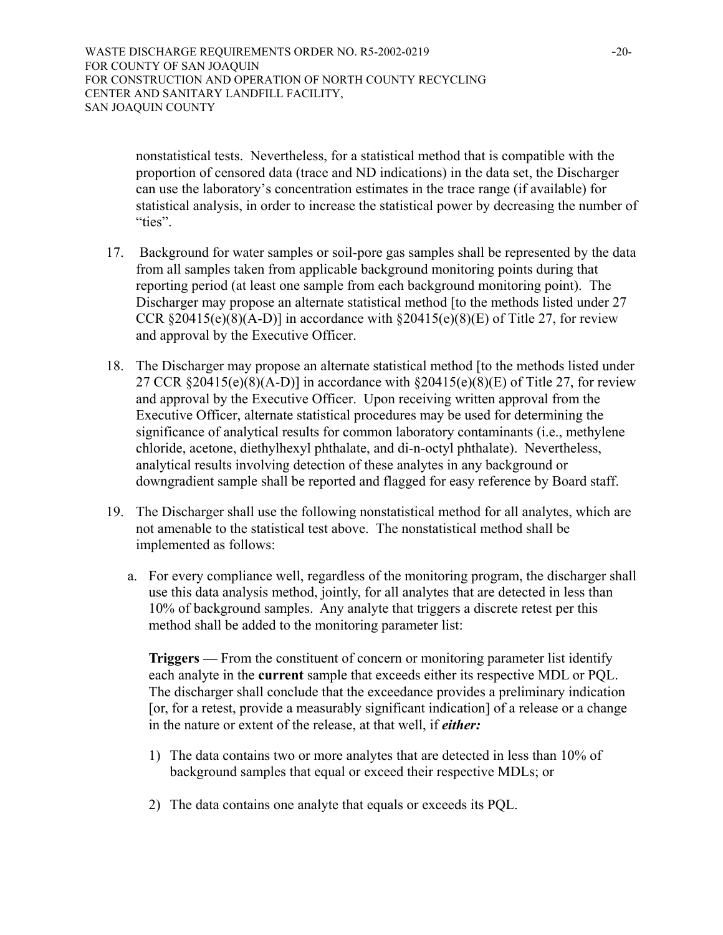nonstatistical tests. Nevertheless, for a statistical method that is compatible with the proportion of censored data (trace and ND indications) in the data set, the Discharger can use the laboratory's concentration estimates in the trace range (if available) for statistical analysis, in order to increase the statistical power by decreasing the number of "ties".

- 17. Background for water samples or soil-pore gas samples shall be represented by the data from all samples taken from applicable background monitoring points during that reporting period (at least one sample from each background monitoring point). The Discharger may propose an alternate statistical method [to the methods listed under 27 CCR  $\S 20415(e)(8)(A-D)$ ] in accordance with  $\S 20415(e)(8)(E)$  of Title 27, for review and approval by the Executive Officer.
- 18. The Discharger may propose an alternate statistical method [to the methods listed under 27 CCR §20415(e)(8)(A-D)] in accordance with §20415(e)(8)(E) of Title 27, for review and approval by the Executive Officer. Upon receiving written approval from the Executive Officer, alternate statistical procedures may be used for determining the significance of analytical results for common laboratory contaminants (i.e., methylene chloride, acetone, diethylhexyl phthalate, and di-n-octyl phthalate). Nevertheless, analytical results involving detection of these analytes in any background or downgradient sample shall be reported and flagged for easy reference by Board staff.
- 19. The Discharger shall use the following nonstatistical method for all analytes, which are not amenable to the statistical test above. The nonstatistical method shall be implemented as follows:
	- a. For every compliance well, regardless of the monitoring program, the discharger shall use this data analysis method, jointly, for all analytes that are detected in less than 10% of background samples. Any analyte that triggers a discrete retest per this method shall be added to the monitoring parameter list:

**Triggers —** From the constituent of concern or monitoring parameter list identify each analyte in the **current** sample that exceeds either its respective MDL or PQL. The discharger shall conclude that the exceedance provides a preliminary indication [or, for a retest, provide a measurably significant indication] of a release or a change in the nature or extent of the release, at that well, if *either:* 

- 1) The data contains two or more analytes that are detected in less than 10% of background samples that equal or exceed their respective MDLs; or
- 2) The data contains one analyte that equals or exceeds its PQL.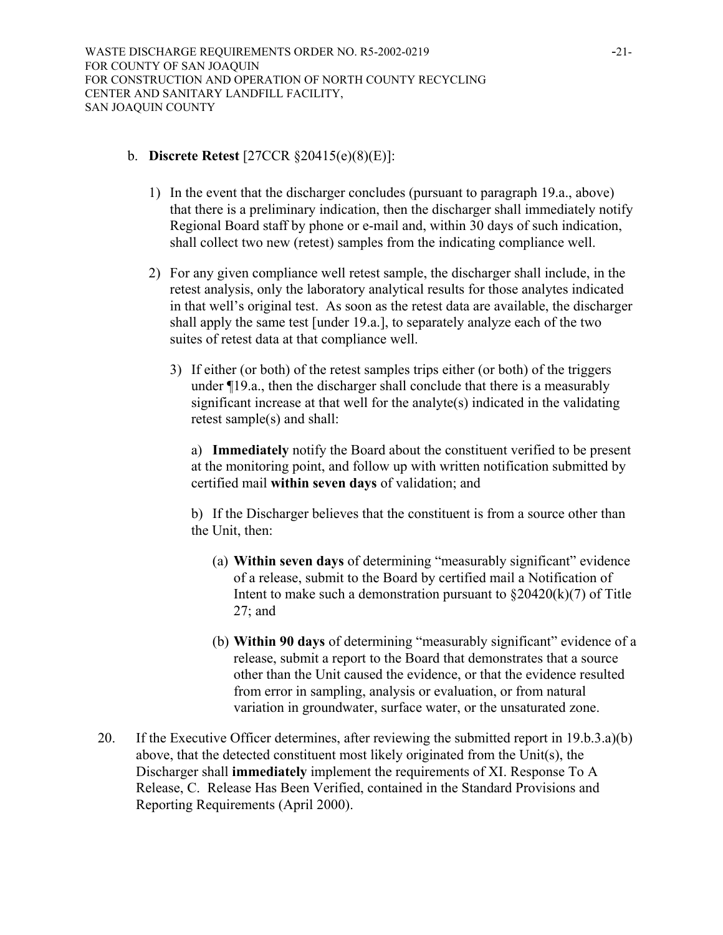# b. **Discrete Retest** [27CCR §20415(e)(8)(E)]:

- 1) In the event that the discharger concludes (pursuant to paragraph 19.a., above) that there is a preliminary indication, then the discharger shall immediately notify Regional Board staff by phone or e-mail and, within 30 days of such indication, shall collect two new (retest) samples from the indicating compliance well.
- 2) For any given compliance well retest sample, the discharger shall include, in the retest analysis, only the laboratory analytical results for those analytes indicated in that well's original test. As soon as the retest data are available, the discharger shall apply the same test [under 19.a.], to separately analyze each of the two suites of retest data at that compliance well.
	- 3) If either (or both) of the retest samples trips either (or both) of the triggers under ¶19.a., then the discharger shall conclude that there is a measurably significant increase at that well for the analyte(s) indicated in the validating retest sample(s) and shall:

a) **Immediately** notify the Board about the constituent verified to be present at the monitoring point, and follow up with written notification submitted by certified mail **within seven days** of validation; and

b) If the Discharger believes that the constituent is from a source other than the Unit, then:

- (a) **Within seven days** of determining "measurably significant" evidence of a release, submit to the Board by certified mail a Notification of Intent to make such a demonstration pursuant to  $\S20420(k)(7)$  of Title 27; and
- (b) **Within 90 days** of determining "measurably significant" evidence of a release, submit a report to the Board that demonstrates that a source other than the Unit caused the evidence, or that the evidence resulted from error in sampling, analysis or evaluation, or from natural variation in groundwater, surface water, or the unsaturated zone.
- 20. If the Executive Officer determines, after reviewing the submitted report in 19.b.3.a)(b) above, that the detected constituent most likely originated from the Unit(s), the Discharger shall **immediately** implement the requirements of XI. Response To A Release, C. Release Has Been Verified, contained in the Standard Provisions and Reporting Requirements (April 2000).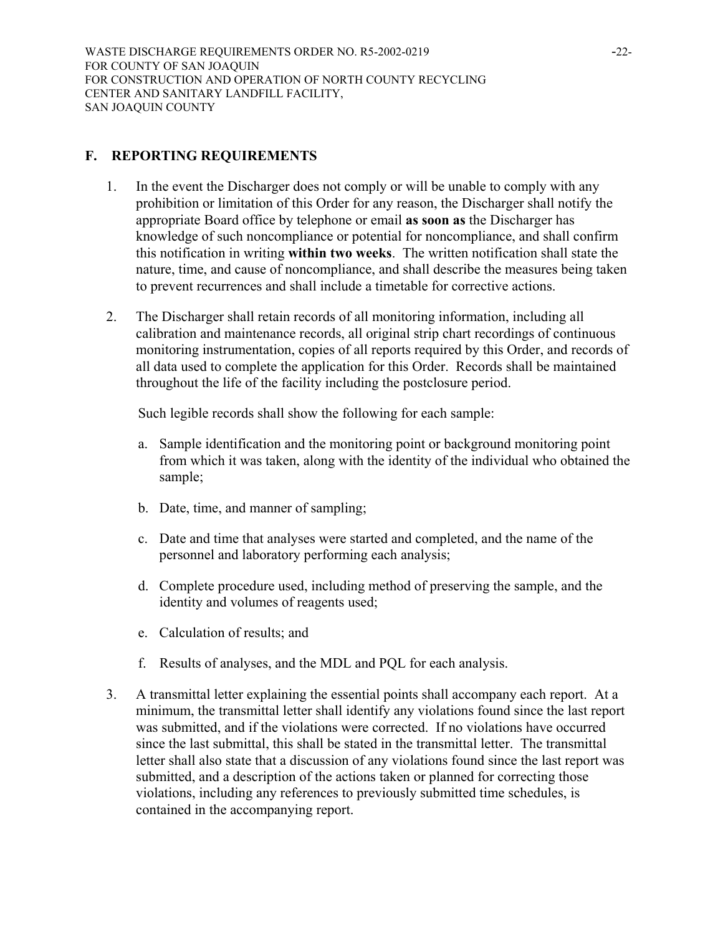# **F. REPORTING REQUIREMENTS**

- 1. In the event the Discharger does not comply or will be unable to comply with any prohibition or limitation of this Order for any reason, the Discharger shall notify the appropriate Board office by telephone or email **as soon as** the Discharger has knowledge of such noncompliance or potential for noncompliance, and shall confirm this notification in writing **within two weeks**. The written notification shall state the nature, time, and cause of noncompliance, and shall describe the measures being taken to prevent recurrences and shall include a timetable for corrective actions.
- 2. The Discharger shall retain records of all monitoring information, including all calibration and maintenance records, all original strip chart recordings of continuous monitoring instrumentation, copies of all reports required by this Order, and records of all data used to complete the application for this Order. Records shall be maintained throughout the life of the facility including the postclosure period.

Such legible records shall show the following for each sample:

- a. Sample identification and the monitoring point or background monitoring point from which it was taken, along with the identity of the individual who obtained the sample;
- b. Date, time, and manner of sampling;
- c. Date and time that analyses were started and completed, and the name of the personnel and laboratory performing each analysis;
- d. Complete procedure used, including method of preserving the sample, and the identity and volumes of reagents used;
- e. Calculation of results; and
- f. Results of analyses, and the MDL and PQL for each analysis.
- 3. A transmittal letter explaining the essential points shall accompany each report. At a minimum, the transmittal letter shall identify any violations found since the last report was submitted, and if the violations were corrected. If no violations have occurred since the last submittal, this shall be stated in the transmittal letter. The transmittal letter shall also state that a discussion of any violations found since the last report was submitted, and a description of the actions taken or planned for correcting those violations, including any references to previously submitted time schedules, is contained in the accompanying report.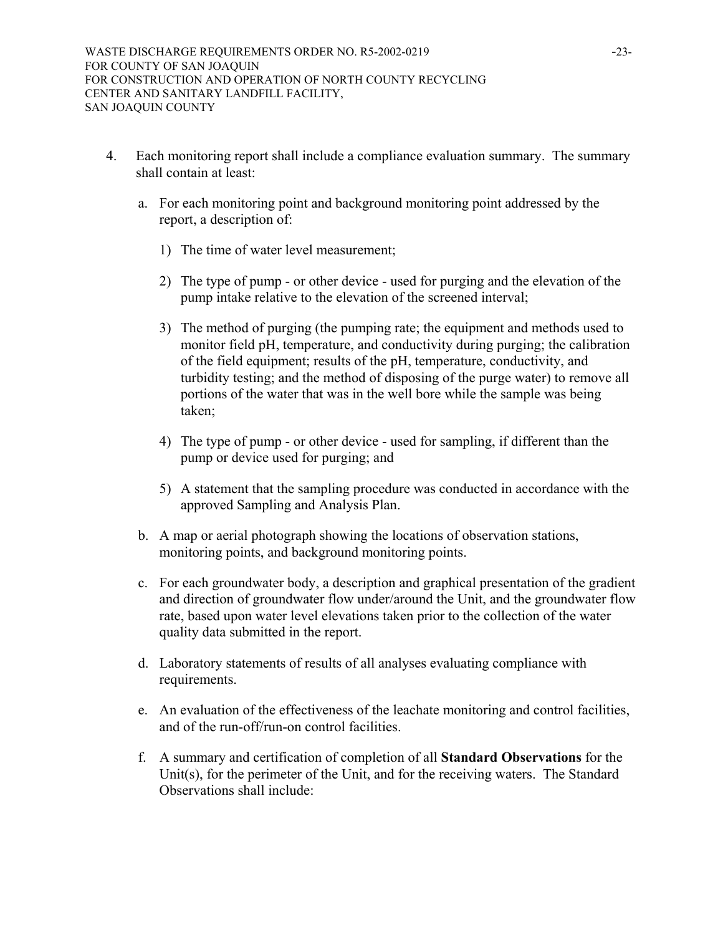- 4. Each monitoring report shall include a compliance evaluation summary. The summary shall contain at least:
	- a. For each monitoring point and background monitoring point addressed by the report, a description of:
		- 1) The time of water level measurement;
		- 2) The type of pump or other device used for purging and the elevation of the pump intake relative to the elevation of the screened interval;
		- 3) The method of purging (the pumping rate; the equipment and methods used to monitor field pH, temperature, and conductivity during purging; the calibration of the field equipment; results of the pH, temperature, conductivity, and turbidity testing; and the method of disposing of the purge water) to remove all portions of the water that was in the well bore while the sample was being taken;
		- 4) The type of pump or other device used for sampling, if different than the pump or device used for purging; and
		- 5) A statement that the sampling procedure was conducted in accordance with the approved Sampling and Analysis Plan.
	- b. A map or aerial photograph showing the locations of observation stations, monitoring points, and background monitoring points.
	- c. For each groundwater body, a description and graphical presentation of the gradient and direction of groundwater flow under/around the Unit, and the groundwater flow rate, based upon water level elevations taken prior to the collection of the water quality data submitted in the report.
	- d. Laboratory statements of results of all analyses evaluating compliance with requirements.
	- e. An evaluation of the effectiveness of the leachate monitoring and control facilities, and of the run-off/run-on control facilities.
	- f. A summary and certification of completion of all **Standard Observations** for the Unit(s), for the perimeter of the Unit, and for the receiving waters. The Standard Observations shall include: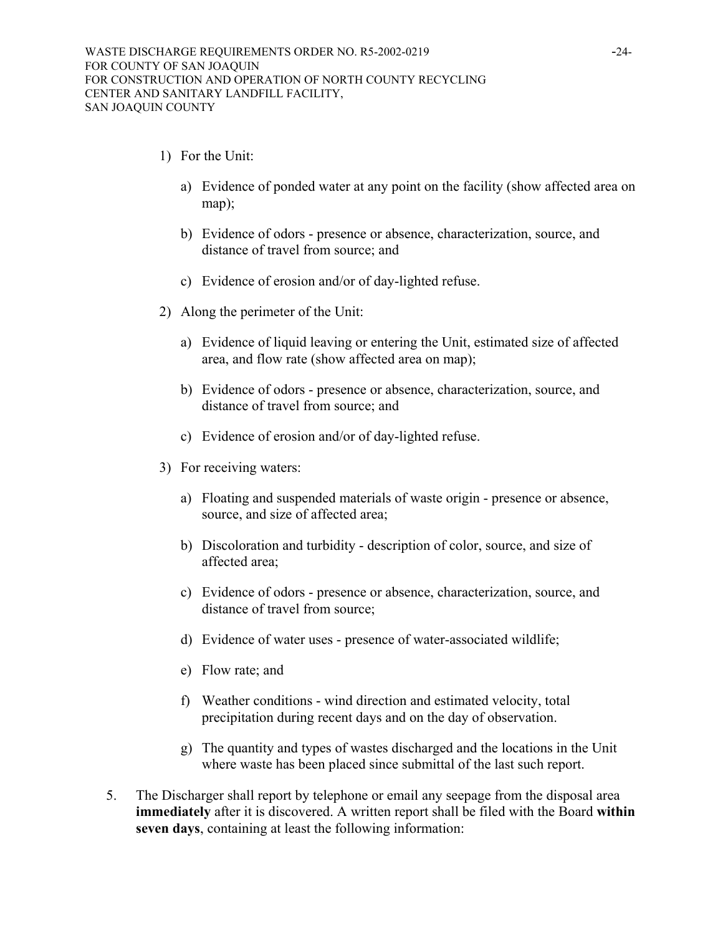- 1) For the Unit:
	- a) Evidence of ponded water at any point on the facility (show affected area on map);
	- b) Evidence of odors presence or absence, characterization, source, and distance of travel from source; and
	- c) Evidence of erosion and/or of day-lighted refuse.
- 2) Along the perimeter of the Unit:
	- a) Evidence of liquid leaving or entering the Unit, estimated size of affected area, and flow rate (show affected area on map);
	- b) Evidence of odors presence or absence, characterization, source, and distance of travel from source; and
	- c) Evidence of erosion and/or of day-lighted refuse.
- 3) For receiving waters:
	- a) Floating and suspended materials of waste origin presence or absence, source, and size of affected area;
	- b) Discoloration and turbidity description of color, source, and size of affected area;
	- c) Evidence of odors presence or absence, characterization, source, and distance of travel from source;
	- d) Evidence of water uses presence of water-associated wildlife;
	- e) Flow rate; and
	- f) Weather conditions wind direction and estimated velocity, total precipitation during recent days and on the day of observation.
	- g) The quantity and types of wastes discharged and the locations in the Unit where waste has been placed since submittal of the last such report.
- 5. The Discharger shall report by telephone or email any seepage from the disposal area **immediately** after it is discovered. A written report shall be filed with the Board **within seven days**, containing at least the following information: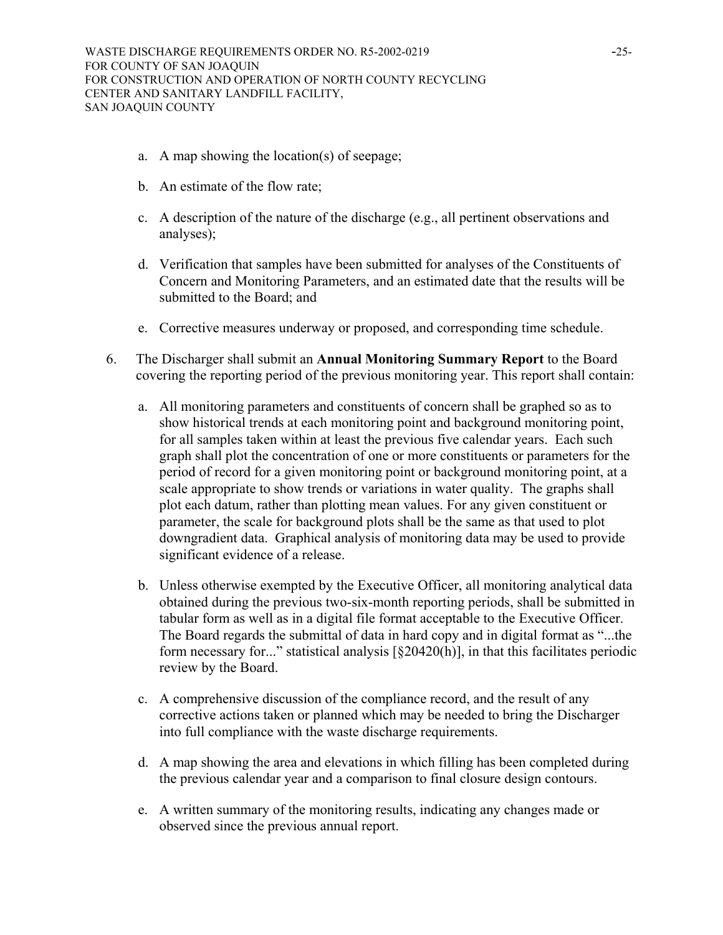- a. A map showing the location(s) of seepage;
- b. An estimate of the flow rate;
- c. A description of the nature of the discharge (e.g., all pertinent observations and analyses);
- d. Verification that samples have been submitted for analyses of the Constituents of Concern and Monitoring Parameters, and an estimated date that the results will be submitted to the Board; and
- e. Corrective measures underway or proposed, and corresponding time schedule.
- 6. The Discharger shall submit an **Annual Monitoring Summary Report** to the Board covering the reporting period of the previous monitoring year. This report shall contain:
	- a. All monitoring parameters and constituents of concern shall be graphed so as to show historical trends at each monitoring point and background monitoring point, for all samples taken within at least the previous five calendar years. Each such graph shall plot the concentration of one or more constituents or parameters for the period of record for a given monitoring point or background monitoring point, at a scale appropriate to show trends or variations in water quality. The graphs shall plot each datum, rather than plotting mean values. For any given constituent or parameter, the scale for background plots shall be the same as that used to plot downgradient data. Graphical analysis of monitoring data may be used to provide significant evidence of a release.
	- b. Unless otherwise exempted by the Executive Officer, all monitoring analytical data obtained during the previous two-six-month reporting periods, shall be submitted in tabular form as well as in a digital file format acceptable to the Executive Officer. The Board regards the submittal of data in hard copy and in digital format as "...the form necessary for..." statistical analysis  $[\S 20420(h)]$ , in that this facilitates periodic review by the Board.
	- c. A comprehensive discussion of the compliance record, and the result of any corrective actions taken or planned which may be needed to bring the Discharger into full compliance with the waste discharge requirements.
	- d. A map showing the area and elevations in which filling has been completed during the previous calendar year and a comparison to final closure design contours.
	- e. A written summary of the monitoring results, indicating any changes made or observed since the previous annual report.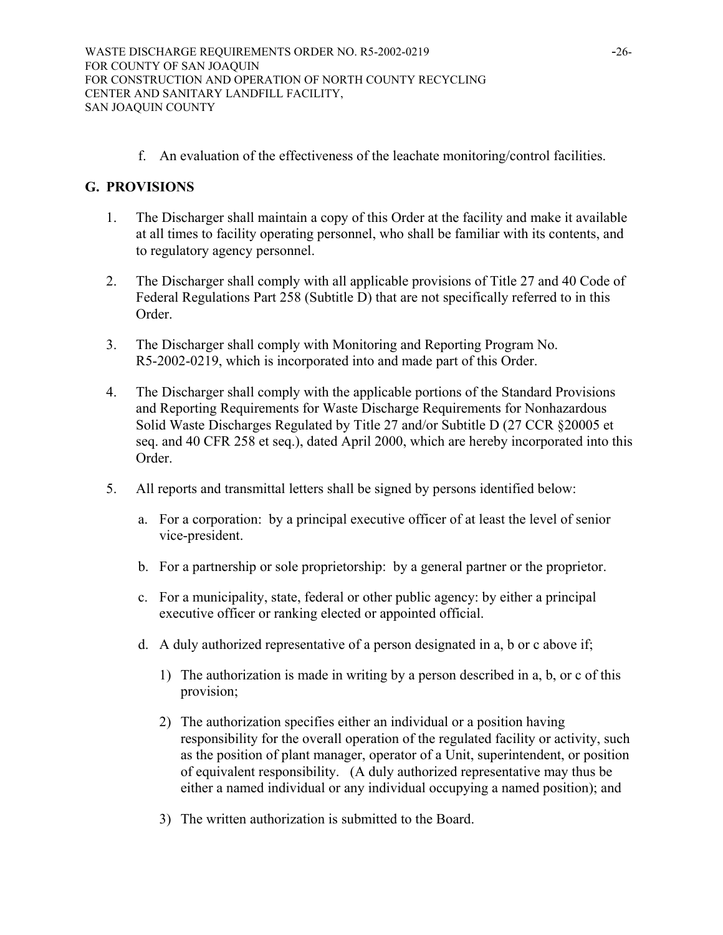f. An evaluation of the effectiveness of the leachate monitoring/control facilities.

# **G. PROVISIONS**

- 1. The Discharger shall maintain a copy of this Order at the facility and make it available at all times to facility operating personnel, who shall be familiar with its contents, and to regulatory agency personnel.
- 2. The Discharger shall comply with all applicable provisions of Title 27 and 40 Code of Federal Regulations Part 258 (Subtitle D) that are not specifically referred to in this Order.
- 3. The Discharger shall comply with Monitoring and Reporting Program No. R5-2002-0219, which is incorporated into and made part of this Order.
- 4. The Discharger shall comply with the applicable portions of the Standard Provisions and Reporting Requirements for Waste Discharge Requirements for Nonhazardous Solid Waste Discharges Regulated by Title 27 and/or Subtitle D (27 CCR §20005 et seq. and 40 CFR 258 et seq.), dated April 2000, which are hereby incorporated into this Order.
- 5. All reports and transmittal letters shall be signed by persons identified below:
	- a. For a corporation: by a principal executive officer of at least the level of senior vice-president.
	- b. For a partnership or sole proprietorship: by a general partner or the proprietor.
	- c. For a municipality, state, federal or other public agency: by either a principal executive officer or ranking elected or appointed official.
	- d. A duly authorized representative of a person designated in a, b or c above if;
		- 1) The authorization is made in writing by a person described in a, b, or c of this provision;
		- 2) The authorization specifies either an individual or a position having responsibility for the overall operation of the regulated facility or activity, such as the position of plant manager, operator of a Unit, superintendent, or position of equivalent responsibility. (A duly authorized representative may thus be either a named individual or any individual occupying a named position); and
		- 3) The written authorization is submitted to the Board.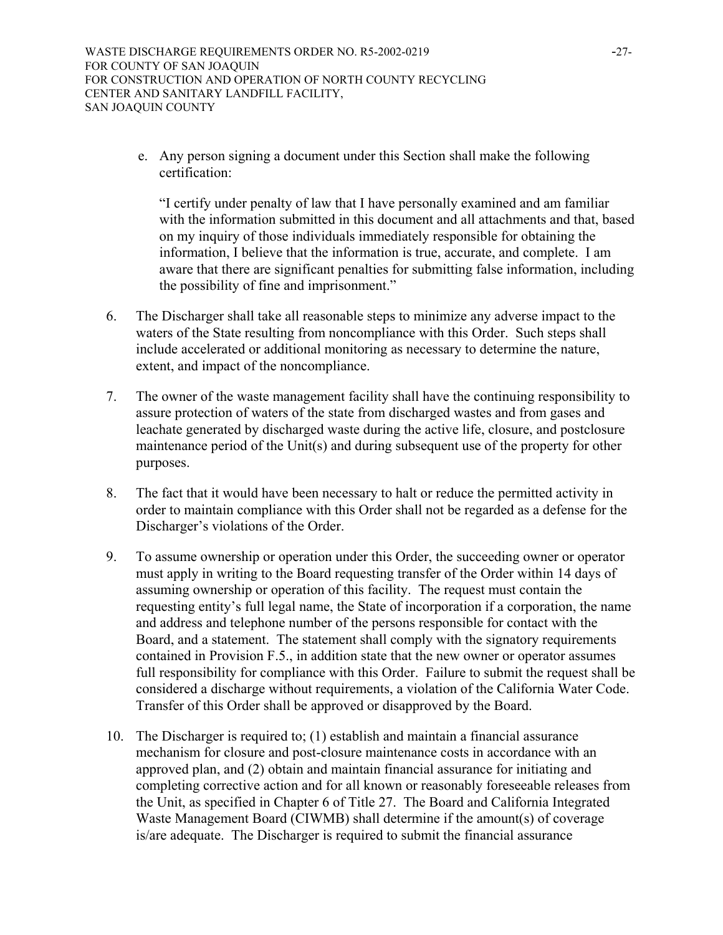e. Any person signing a document under this Section shall make the following certification:

"I certify under penalty of law that I have personally examined and am familiar with the information submitted in this document and all attachments and that, based on my inquiry of those individuals immediately responsible for obtaining the information, I believe that the information is true, accurate, and complete. I am aware that there are significant penalties for submitting false information, including the possibility of fine and imprisonment."

- 6. The Discharger shall take all reasonable steps to minimize any adverse impact to the waters of the State resulting from noncompliance with this Order. Such steps shall include accelerated or additional monitoring as necessary to determine the nature, extent, and impact of the noncompliance.
- 7. The owner of the waste management facility shall have the continuing responsibility to assure protection of waters of the state from discharged wastes and from gases and leachate generated by discharged waste during the active life, closure, and postclosure maintenance period of the Unit(s) and during subsequent use of the property for other purposes.
- 8. The fact that it would have been necessary to halt or reduce the permitted activity in order to maintain compliance with this Order shall not be regarded as a defense for the Discharger's violations of the Order.
- 9. To assume ownership or operation under this Order, the succeeding owner or operator must apply in writing to the Board requesting transfer of the Order within 14 days of assuming ownership or operation of this facility. The request must contain the requesting entity's full legal name, the State of incorporation if a corporation, the name and address and telephone number of the persons responsible for contact with the Board, and a statement. The statement shall comply with the signatory requirements contained in Provision F.5., in addition state that the new owner or operator assumes full responsibility for compliance with this Order. Failure to submit the request shall be considered a discharge without requirements, a violation of the California Water Code. Transfer of this Order shall be approved or disapproved by the Board.
- 10. The Discharger is required to; (1) establish and maintain a financial assurance mechanism for closure and post-closure maintenance costs in accordance with an approved plan, and (2) obtain and maintain financial assurance for initiating and completing corrective action and for all known or reasonably foreseeable releases from the Unit, as specified in Chapter 6 of Title 27. The Board and California Integrated Waste Management Board (CIWMB) shall determine if the amount(s) of coverage is/are adequate. The Discharger is required to submit the financial assurance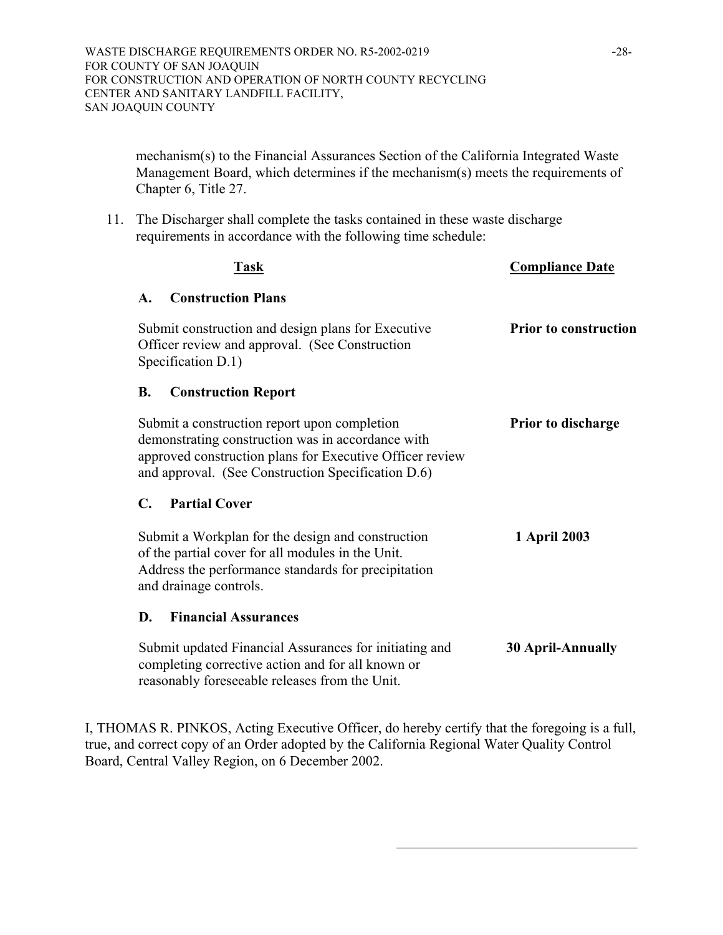mechanism(s) to the Financial Assurances Section of the California Integrated Waste Management Board, which determines if the mechanism(s) meets the requirements of Chapter 6, Title 27.

11. The Discharger shall complete the tasks contained in these waste discharge requirements in accordance with the following time schedule:

| Task                                                                                                                                                                                                                | <b>Compliance Date</b>       |
|---------------------------------------------------------------------------------------------------------------------------------------------------------------------------------------------------------------------|------------------------------|
| <b>Construction Plans</b><br>$\mathbf{A}$ .                                                                                                                                                                         |                              |
| Submit construction and design plans for Executive<br>Officer review and approval. (See Construction<br>Specification D.1)                                                                                          | <b>Prior to construction</b> |
| <b>B.</b><br><b>Construction Report</b>                                                                                                                                                                             |                              |
| Submit a construction report upon completion<br>demonstrating construction was in accordance with<br>approved construction plans for Executive Officer review<br>and approval. (See Construction Specification D.6) | <b>Prior to discharge</b>    |
| $\mathbf{C}$ .<br><b>Partial Cover</b>                                                                                                                                                                              |                              |
| Submit a Workplan for the design and construction<br>of the partial cover for all modules in the Unit.<br>Address the performance standards for precipitation<br>and drainage controls.                             | 1 April 2003                 |
| <b>Financial Assurances</b><br>D.                                                                                                                                                                                   |                              |
| Submit updated Financial Assurances for initiating and<br>completing corrective action and for all known or<br>reasonably foreseeable releases from the Unit.                                                       | <b>30 April-Annually</b>     |

I, THOMAS R. PINKOS, Acting Executive Officer, do hereby certify that the foregoing is a full, true, and correct copy of an Order adopted by the California Regional Water Quality Control Board, Central Valley Region, on 6 December 2002.

\_\_\_\_\_\_\_\_\_\_\_\_\_\_\_\_\_\_\_\_\_\_\_\_\_\_\_\_\_\_\_\_\_\_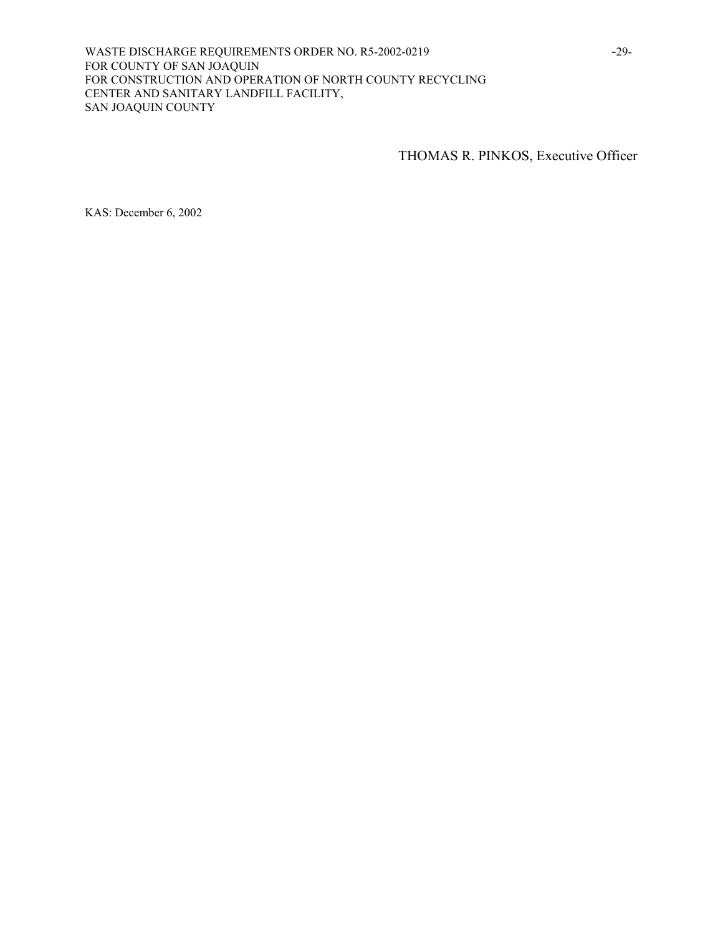WASTE DISCHARGE REQUIREMENTS ORDER NO. R5-2002-0219 -29-FOR COUNTY OF SAN JOAQUIN FOR CONSTRUCTION AND OPERATION OF NORTH COUNTY RECYCLING CENTER AND SANITARY LANDFILL FACILITY, SAN JOAQUIN COUNTY

THOMAS R. PINKOS, Executive Officer

KAS: December 6, 2002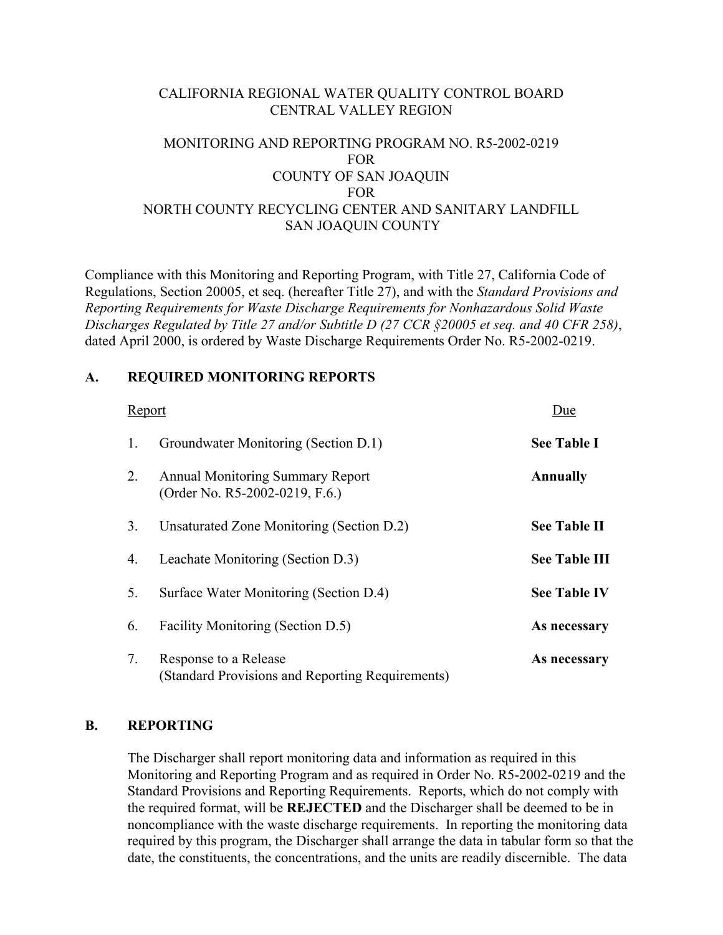# CALIFORNIA REGIONAL WATER QUALITY CONTROL BOARD CENTRAL VALLEY REGION

# MONITORING AND REPORTING PROGRAM NO. R5-2002-0219 FOR COUNTY OF SAN JOAQUIN FOR NORTH COUNTY RECYCLING CENTER AND SANITARY LANDFILL SAN JOAQUIN COUNTY

Compliance with this Monitoring and Reporting Program, with Title 27, California Code of Regulations, Section 20005, et seq. (hereafter Title 27), and with the *Standard Provisions and Reporting Requirements for Waste Discharge Requirements for Nonhazardous Solid Waste Discharges Regulated by Title 27 and/or Subtitle D (27 CCR §20005 et seq. and 40 CFR 258)*, dated April 2000, is ordered by Waste Discharge Requirements Order No. R5-2002-0219.

# **A. REQUIRED MONITORING REPORTS**

| Report |                                                                           | Due                  |
|--------|---------------------------------------------------------------------------|----------------------|
| 1.     | Groundwater Monitoring (Section D.1)                                      | <b>See Table I</b>   |
| 2.     | <b>Annual Monitoring Summary Report</b><br>(Order No. R5-2002-0219, F.6.) | <b>Annually</b>      |
| 3.     | Unsaturated Zone Monitoring (Section D.2)                                 | <b>See Table II</b>  |
| 4.     | Leachate Monitoring (Section D.3)                                         | <b>See Table III</b> |
| 5.     | Surface Water Monitoring (Section D.4)                                    | <b>See Table IV</b>  |
| 6.     | Facility Monitoring (Section D.5)                                         | As necessary         |
| 7.     | Response to a Release<br>(Standard Provisions and Reporting Requirements) | As necessary         |

## **B. REPORTING**

 The Discharger shall report monitoring data and information as required in this Monitoring and Reporting Program and as required in Order No. R5-2002-0219 and the Standard Provisions and Reporting Requirements. Reports, which do not comply with the required format, will be **REJECTED** and the Discharger shall be deemed to be in noncompliance with the waste discharge requirements. In reporting the monitoring data required by this program, the Discharger shall arrange the data in tabular form so that the date, the constituents, the concentrations, and the units are readily discernible. The data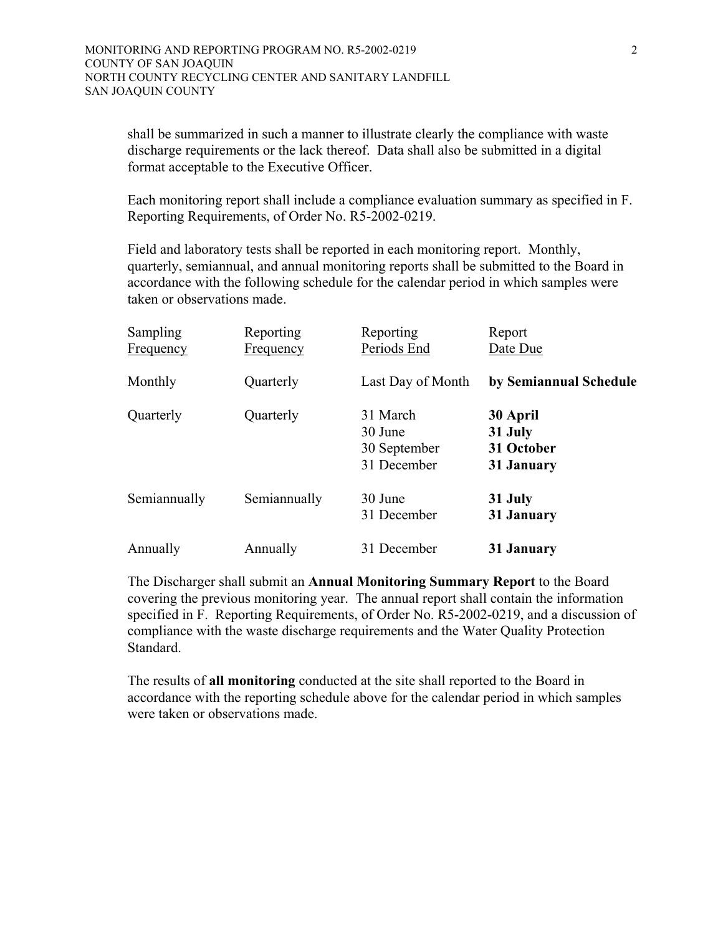shall be summarized in such a manner to illustrate clearly the compliance with waste discharge requirements or the lack thereof. Data shall also be submitted in a digital format acceptable to the Executive Officer.

 Each monitoring report shall include a compliance evaluation summary as specified in F. Reporting Requirements, of Order No. R5-2002-0219.

 Field and laboratory tests shall be reported in each monitoring report. Monthly, quarterly, semiannual, and annual monitoring reports shall be submitted to the Board in accordance with the following schedule for the calendar period in which samples were taken or observations made.

| <b>Sampling</b><br><b>Frequency</b> | Reporting<br><b>Frequency</b> | Reporting<br>Periods End                           | Report<br>Date Due                              |
|-------------------------------------|-------------------------------|----------------------------------------------------|-------------------------------------------------|
| Monthly                             | Quarterly                     | Last Day of Month                                  | by Semiannual Schedule                          |
| Quarterly                           | Quarterly                     | 31 March<br>30 June<br>30 September<br>31 December | 30 April<br>31 July<br>31 October<br>31 January |
| Semiannually                        | Semiannually                  | 30 June<br>31 December                             | 31 July<br>31 January                           |
| Annually                            | Annually                      | 31 December                                        | 31 January                                      |

 The Discharger shall submit an **Annual Monitoring Summary Report** to the Board covering the previous monitoring year. The annual report shall contain the information specified in F. Reporting Requirements, of Order No. R5-2002-0219, and a discussion of compliance with the waste discharge requirements and the Water Quality Protection Standard.

 The results of **all monitoring** conducted at the site shall reported to the Board in accordance with the reporting schedule above for the calendar period in which samples were taken or observations made.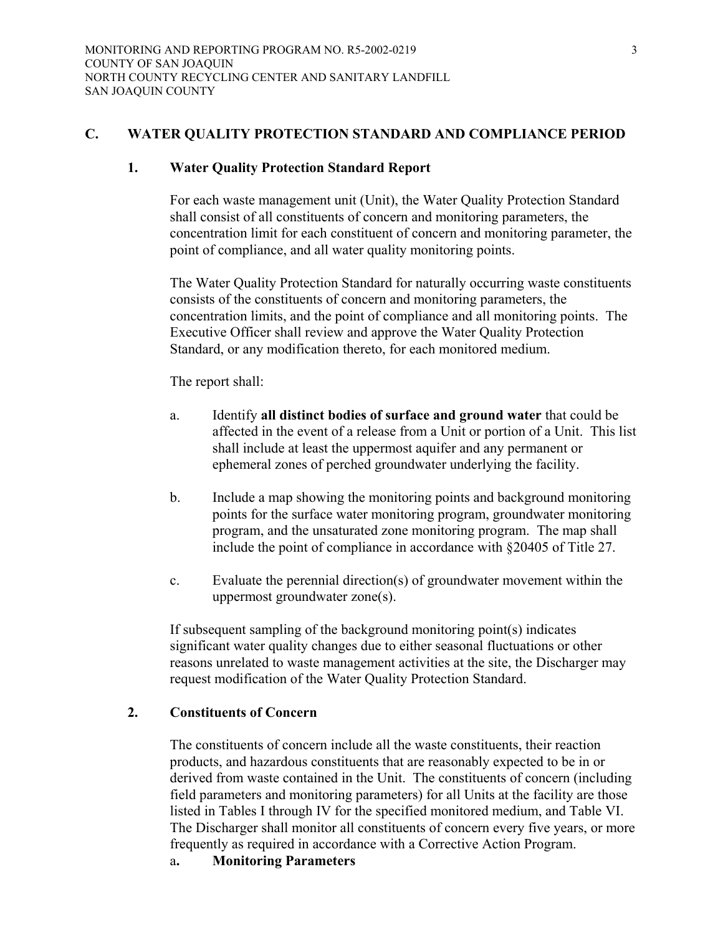# **C. WATER QUALITY PROTECTION STANDARD AND COMPLIANCE PERIOD**

### **1. Water Quality Protection Standard Report**

 For each waste management unit (Unit), the Water Quality Protection Standard shall consist of all constituents of concern and monitoring parameters, the concentration limit for each constituent of concern and monitoring parameter, the point of compliance, and all water quality monitoring points.

 The Water Quality Protection Standard for naturally occurring waste constituents consists of the constituents of concern and monitoring parameters, the concentration limits, and the point of compliance and all monitoring points. The Executive Officer shall review and approve the Water Quality Protection Standard, or any modification thereto, for each monitored medium.

The report shall:

- a. Identify **all distinct bodies of surface and ground water** that could be affected in the event of a release from a Unit or portion of a Unit. This list shall include at least the uppermost aquifer and any permanent or ephemeral zones of perched groundwater underlying the facility.
- b. Include a map showing the monitoring points and background monitoring points for the surface water monitoring program, groundwater monitoring program, and the unsaturated zone monitoring program. The map shall include the point of compliance in accordance with §20405 of Title 27.
- c. Evaluate the perennial direction(s) of groundwater movement within the uppermost groundwater zone(s).

 If subsequent sampling of the background monitoring point(s) indicates significant water quality changes due to either seasonal fluctuations or other reasons unrelated to waste management activities at the site, the Discharger may request modification of the Water Quality Protection Standard.

## **2. Constituents of Concern**

The constituents of concern include all the waste constituents, their reaction products, and hazardous constituents that are reasonably expected to be in or derived from waste contained in the Unit. The constituents of concern (including field parameters and monitoring parameters) for all Units at the facility are those listed in Tables I through IV for the specified monitored medium, and Table VI. The Discharger shall monitor all constituents of concern every five years, or more frequently as required in accordance with a Corrective Action Program.

a**. Monitoring Parameters**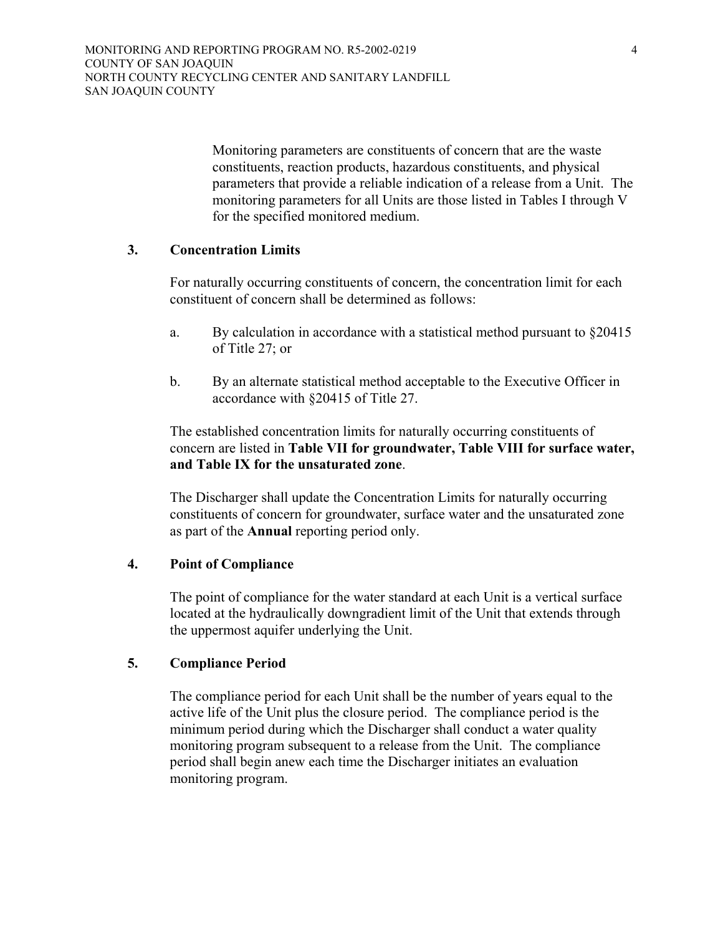Monitoring parameters are constituents of concern that are the waste constituents, reaction products, hazardous constituents, and physical parameters that provide a reliable indication of a release from a Unit. The monitoring parameters for all Units are those listed in Tables I through V for the specified monitored medium.

# **3. Concentration Limits**

 For naturally occurring constituents of concern, the concentration limit for each constituent of concern shall be determined as follows:

- a. By calculation in accordance with a statistical method pursuant to §20415 of Title 27; or
- b. By an alternate statistical method acceptable to the Executive Officer in accordance with §20415 of Title 27.

 The established concentration limits for naturally occurring constituents of concern are listed in **Table VII for groundwater, Table VIII for surface water, and Table IX for the unsaturated zone**.

The Discharger shall update the Concentration Limits for naturally occurring constituents of concern for groundwater, surface water and the unsaturated zone as part of the **Annual** reporting period only.

### **4. Point of Compliance**

 The point of compliance for the water standard at each Unit is a vertical surface located at the hydraulically downgradient limit of the Unit that extends through the uppermost aquifer underlying the Unit.

# **5. Compliance Period**

 The compliance period for each Unit shall be the number of years equal to the active life of the Unit plus the closure period. The compliance period is the minimum period during which the Discharger shall conduct a water quality monitoring program subsequent to a release from the Unit. The compliance period shall begin anew each time the Discharger initiates an evaluation monitoring program.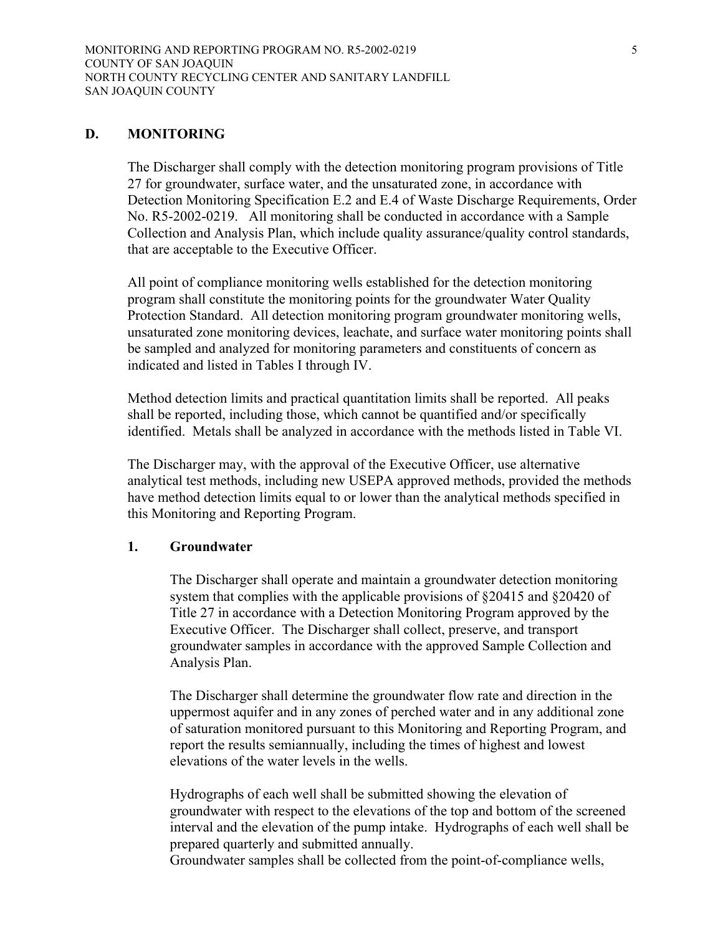### **D. MONITORING**

The Discharger shall comply with the detection monitoring program provisions of Title 27 for groundwater, surface water, and the unsaturated zone, in accordance with Detection Monitoring Specification E.2 and E.4 of Waste Discharge Requirements, Order No. R5-2002-0219. All monitoring shall be conducted in accordance with a Sample Collection and Analysis Plan, which include quality assurance/quality control standards, that are acceptable to the Executive Officer.

All point of compliance monitoring wells established for the detection monitoring program shall constitute the monitoring points for the groundwater Water Quality Protection Standard. All detection monitoring program groundwater monitoring wells, unsaturated zone monitoring devices, leachate, and surface water monitoring points shall be sampled and analyzed for monitoring parameters and constituents of concern as indicated and listed in Tables I through IV.

Method detection limits and practical quantitation limits shall be reported. All peaks shall be reported, including those, which cannot be quantified and/or specifically identified. Metals shall be analyzed in accordance with the methods listed in Table VI.

The Discharger may, with the approval of the Executive Officer, use alternative analytical test methods, including new USEPA approved methods, provided the methods have method detection limits equal to or lower than the analytical methods specified in this Monitoring and Reporting Program.

### **1. Groundwater**

The Discharger shall operate and maintain a groundwater detection monitoring system that complies with the applicable provisions of §20415 and §20420 of Title 27 in accordance with a Detection Monitoring Program approved by the Executive Officer. The Discharger shall collect, preserve, and transport groundwater samples in accordance with the approved Sample Collection and Analysis Plan.

The Discharger shall determine the groundwater flow rate and direction in the uppermost aquifer and in any zones of perched water and in any additional zone of saturation monitored pursuant to this Monitoring and Reporting Program, and report the results semiannually, including the times of highest and lowest elevations of the water levels in the wells.

Hydrographs of each well shall be submitted showing the elevation of groundwater with respect to the elevations of the top and bottom of the screened interval and the elevation of the pump intake. Hydrographs of each well shall be prepared quarterly and submitted annually.

Groundwater samples shall be collected from the point-of-compliance wells,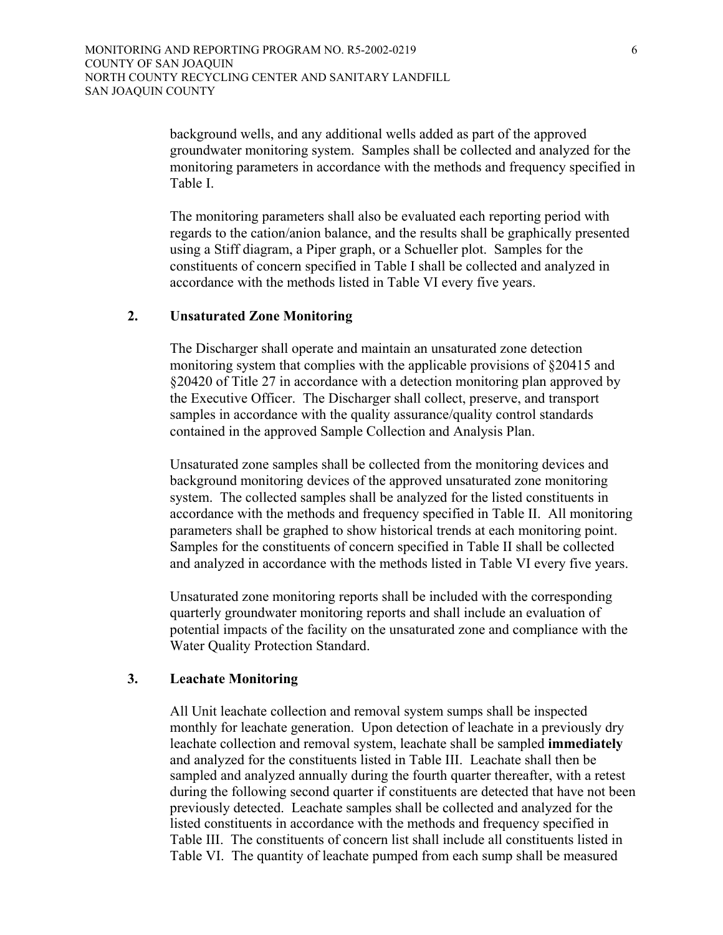background wells, and any additional wells added as part of the approved groundwater monitoring system. Samples shall be collected and analyzed for the monitoring parameters in accordance with the methods and frequency specified in Table I.

The monitoring parameters shall also be evaluated each reporting period with regards to the cation/anion balance, and the results shall be graphically presented using a Stiff diagram, a Piper graph, or a Schueller plot. Samples for the constituents of concern specified in Table I shall be collected and analyzed in accordance with the methods listed in Table VI every five years.

### **2. Unsaturated Zone Monitoring**

The Discharger shall operate and maintain an unsaturated zone detection monitoring system that complies with the applicable provisions of §20415 and §20420 of Title 27 in accordance with a detection monitoring plan approved by the Executive Officer. The Discharger shall collect, preserve, and transport samples in accordance with the quality assurance/quality control standards contained in the approved Sample Collection and Analysis Plan.

Unsaturated zone samples shall be collected from the monitoring devices and background monitoring devices of the approved unsaturated zone monitoring system. The collected samples shall be analyzed for the listed constituents in accordance with the methods and frequency specified in Table II. All monitoring parameters shall be graphed to show historical trends at each monitoring point. Samples for the constituents of concern specified in Table II shall be collected and analyzed in accordance with the methods listed in Table VI every five years.

Unsaturated zone monitoring reports shall be included with the corresponding quarterly groundwater monitoring reports and shall include an evaluation of potential impacts of the facility on the unsaturated zone and compliance with the Water Quality Protection Standard.

## **3. Leachate Monitoring**

All Unit leachate collection and removal system sumps shall be inspected monthly for leachate generation. Upon detection of leachate in a previously dry leachate collection and removal system, leachate shall be sampled **immediately** and analyzed for the constituents listed in Table III. Leachate shall then be sampled and analyzed annually during the fourth quarter thereafter, with a retest during the following second quarter if constituents are detected that have not been previously detected. Leachate samples shall be collected and analyzed for the listed constituents in accordance with the methods and frequency specified in Table III. The constituents of concern list shall include all constituents listed in Table VI. The quantity of leachate pumped from each sump shall be measured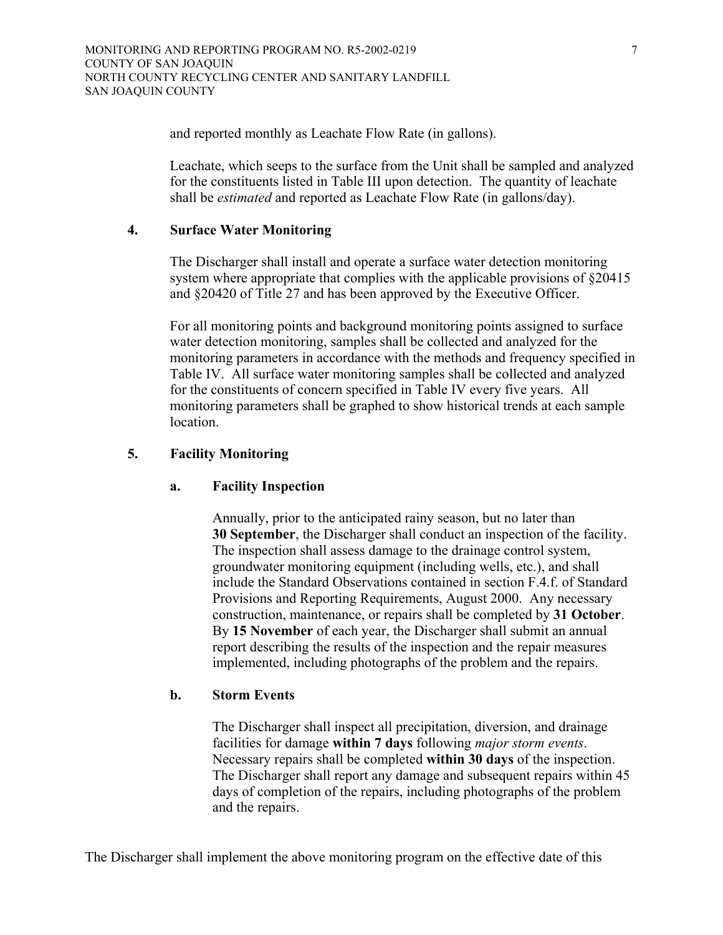and reported monthly as Leachate Flow Rate (in gallons).

Leachate, which seeps to the surface from the Unit shall be sampled and analyzed for the constituents listed in Table III upon detection. The quantity of leachate shall be *estimated* and reported as Leachate Flow Rate (in gallons/day).

## **4. Surface Water Monitoring**

The Discharger shall install and operate a surface water detection monitoring system where appropriate that complies with the applicable provisions of  $\S 20415$ and §20420 of Title 27 and has been approved by the Executive Officer.

For all monitoring points and background monitoring points assigned to surface water detection monitoring, samples shall be collected and analyzed for the monitoring parameters in accordance with the methods and frequency specified in Table IV. All surface water monitoring samples shall be collected and analyzed for the constituents of concern specified in Table IV every five years. All monitoring parameters shall be graphed to show historical trends at each sample location.

### **5. Facility Monitoring**

### **a. Facility Inspection**

Annually, prior to the anticipated rainy season, but no later than **30 September**, the Discharger shall conduct an inspection of the facility. The inspection shall assess damage to the drainage control system, groundwater monitoring equipment (including wells, etc.), and shall include the Standard Observations contained in section F.4.f. of Standard Provisions and Reporting Requirements, August 2000. Any necessary construction, maintenance, or repairs shall be completed by **31 October**. By **15 November** of each year, the Discharger shall submit an annual report describing the results of the inspection and the repair measures implemented, including photographs of the problem and the repairs.

#### **b. Storm Events**

The Discharger shall inspect all precipitation, diversion, and drainage facilities for damage **within 7 days** following *major storm events*. Necessary repairs shall be completed **within 30 days** of the inspection. The Discharger shall report any damage and subsequent repairs within 45 days of completion of the repairs, including photographs of the problem and the repairs.

The Discharger shall implement the above monitoring program on the effective date of this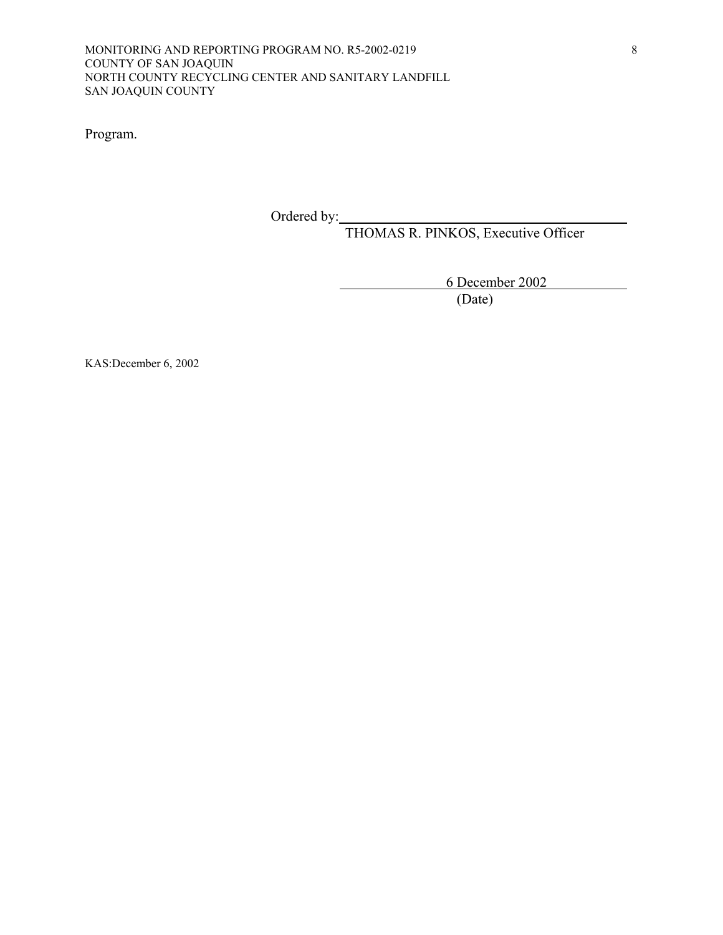Program.

Ordered by:

THOMAS R. PINKOS, Executive Officer

6 December 2002

(Date)

KAS:December 6, 2002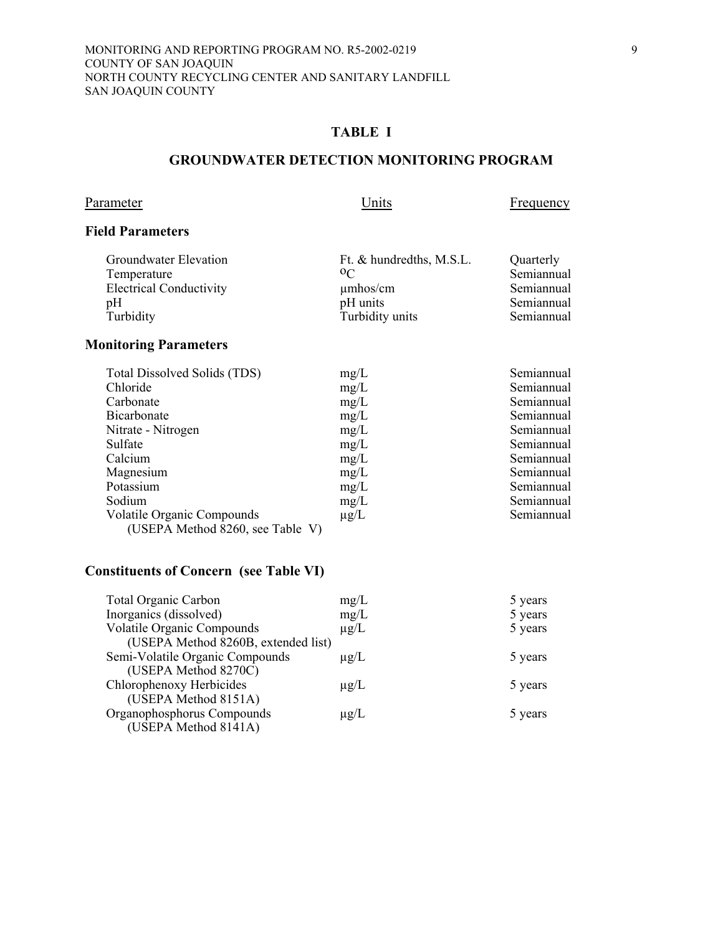### **GROUNDWATER DETECTION MONITORING PROGRAM**

# Parameter Units Frequency

## **Field Parameters**

| Groundwater Elevation          | Ft. & hundredths, M.S.L. | Quarterly  |
|--------------------------------|--------------------------|------------|
| Temperature                    | 0 <sup>C</sup>           | Semiannual |
| <b>Electrical Conductivity</b> | $\mu$ mhos/cm            | Semiannual |
| pH                             | pH units                 | Semiannual |
| Turbidity                      | Turbidity units          | Semiannual |

# **Monitoring Parameters**

| Total Dissolved Solids (TDS)      | mg/L      | Semiannual |
|-----------------------------------|-----------|------------|
| Chloride                          | mg/L      | Semiannual |
| Carbonate                         | mg/L      | Semiannual |
| Bicarbonate                       | mg/L      | Semiannual |
| Nitrate - Nitrogen                | mg/L      | Semiannual |
| Sulfate                           | mg/L      | Semiannual |
| Calcium                           | mg/L      | Semiannual |
| Magnesium                         | mg/L      | Semiannual |
| Potassium                         | mg/L      | Semiannual |
| Sodium                            | mg/L      | Semiannual |
| <b>Volatile Organic Compounds</b> | $\mu$ g/L | Semiannual |
| (USEPA Method 8260, see Table V)  |           |            |

| <b>Total Organic Carbon</b>         | mg/L      | 5 years |
|-------------------------------------|-----------|---------|
| Inorganics (dissolved)              | mg/L      | 5 years |
| <b>Volatile Organic Compounds</b>   | $\mu$ g/L | 5 years |
| (USEPA Method 8260B, extended list) |           |         |
| Semi-Volatile Organic Compounds     | $\mu$ g/L | 5 years |
| (USEPA Method 8270C)                |           |         |
| Chlorophenoxy Herbicides            | $\mu$ g/L | 5 years |
| (USEPA Method 8151A)                |           |         |
| Organophosphorus Compounds          | $\mu$ g/L | 5 years |
| (USEPA Method 8141A)                |           |         |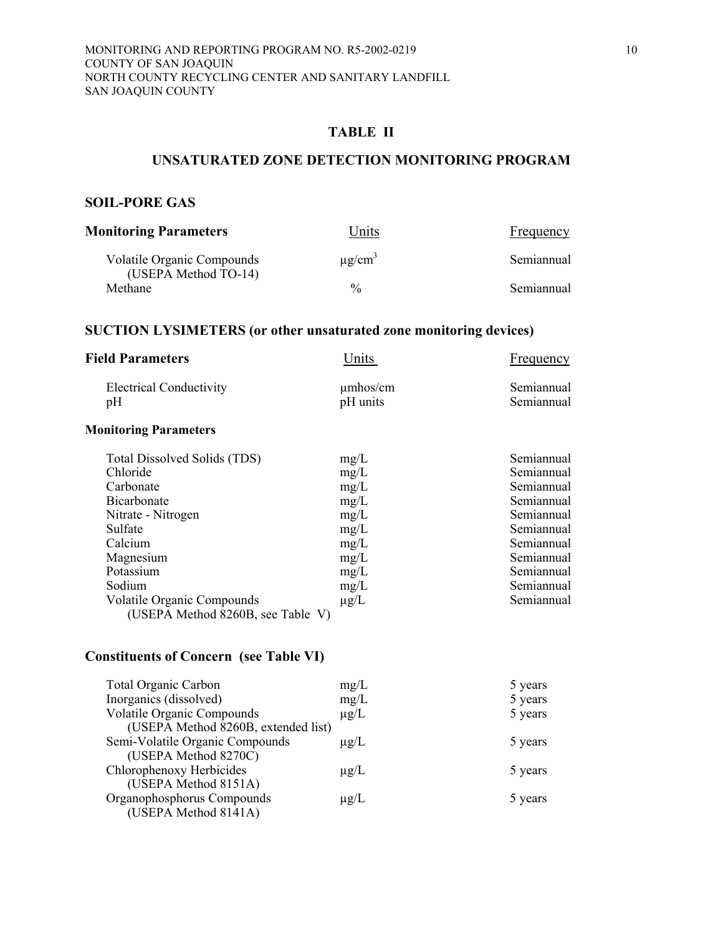## **TABLE II**

#### **UNSATURATED ZONE DETECTION MONITORING PROGRAM**

## **SOIL-PORE GAS**

| <b>Monitoring Parameters</b>                              | Units                   | <b>Frequency</b> |
|-----------------------------------------------------------|-------------------------|------------------|
| <b>Volatile Organic Compounds</b><br>(USEPA Method TO-14) | $\mu$ g/cm <sup>3</sup> | Semiannual       |
| Methane                                                   | $\frac{0}{0}$           | Semiannual       |

# **SUCTION LYSIMETERS (or other unsaturated zone monitoring devices)**

| <b>Field Parameters</b>              | Units                     | Frequency                |
|--------------------------------------|---------------------------|--------------------------|
| <b>Electrical Conductivity</b><br>pΗ | $\mu$ mhos/cm<br>pH units | Semiannual<br>Semiannual |
| <b>Monitoring Parameters</b>         |                           |                          |

| Total Dissolved Solids (TDS)      | mg/L      | Semiannual |
|-----------------------------------|-----------|------------|
| Chloride                          | mg/L      | Semiannual |
| Carbonate                         | mg/L      | Semiannual |
| <b>Bicarbonate</b>                | mg/L      | Semiannual |
| Nitrate - Nitrogen                | mg/L      | Semiannual |
| Sulfate                           | mg/L      | Semiannual |
| Calcium                           | mg/L      | Semiannual |
| Magnesium                         | mg/L      | Semiannual |
| Potassium                         | mg/L      | Semiannual |
| Sodium                            | mg/L      | Semiannual |
| <b>Volatile Organic Compounds</b> | $\mu$ g/L | Semiannual |
| (USEPA Method 8260B, see Table V) |           |            |

| <b>Total Organic Carbon</b>         | mg/L      | 5 years |
|-------------------------------------|-----------|---------|
| Inorganics (dissolved)              | mg/L      | 5 years |
| <b>Volatile Organic Compounds</b>   | $\mu$ g/L | 5 years |
| (USEPA Method 8260B, extended list) |           |         |
| Semi-Volatile Organic Compounds     | $\mu$ g/L | 5 years |
| (USEPA Method 8270C)                |           |         |
| Chlorophenoxy Herbicides            | $\mu$ g/L | 5 years |
| (USEPA Method 8151A)                |           |         |
| Organophosphorus Compounds          | $\mu$ g/L | 5 years |
| (USEPA Method 8141A)                |           |         |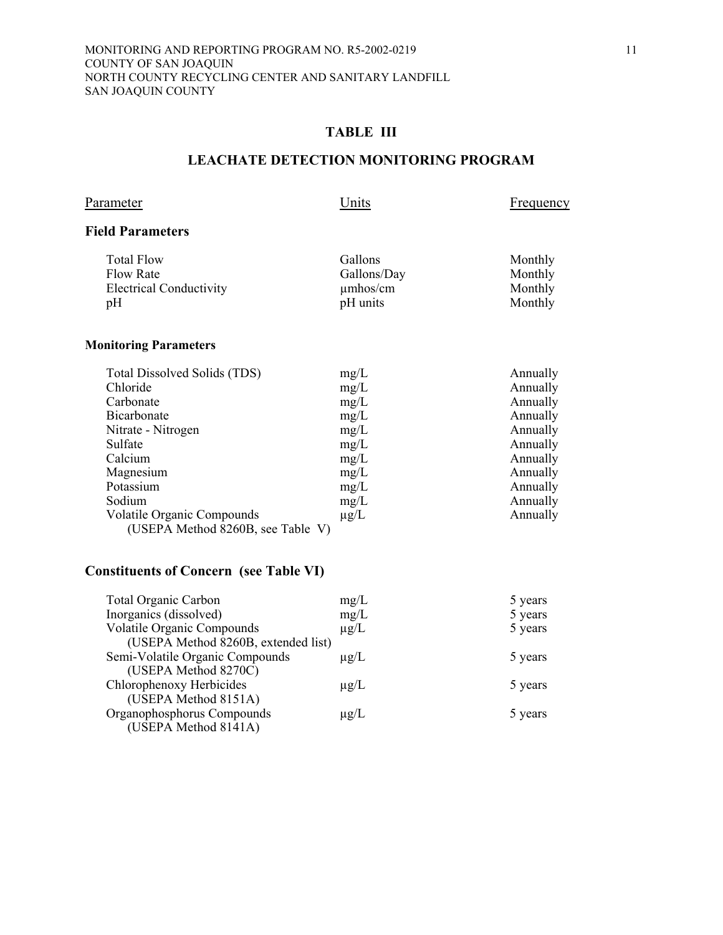## **TABLE III**

### **LEACHATE DETECTION MONITORING PROGRAM**

# Parameter Units Erequency

## **Field Parameters**

| Total Flow<br>Flow Rate<br><b>Electrical Conductivity</b> | Gallons<br>Gallons/Day<br>$\mu$ mhos/cm | Monthly<br>Monthly<br>Monthly |
|-----------------------------------------------------------|-----------------------------------------|-------------------------------|
| pH                                                        | pH units                                | Monthly                       |
|                                                           |                                         |                               |

### **Monitoring Parameters**

| Total Dissolved Solids (TDS)      | mg/L      | Annually |
|-----------------------------------|-----------|----------|
| Chloride                          | mg/L      | Annually |
| Carbonate                         | mg/L      | Annually |
| Bicarbonate                       | mg/L      | Annually |
| Nitrate - Nitrogen                | mg/L      | Annually |
| Sulfate                           | mg/L      | Annually |
| Calcium                           | mg/L      | Annually |
| Magnesium                         | mg/L      | Annually |
| Potassium                         | mg/L      | Annually |
| Sodium                            | mg/L      | Annually |
| <b>Volatile Organic Compounds</b> | $\mu$ g/L | Annually |
| (USEPA Method 8260B, see Table V) |           |          |

| <b>Total Organic Carbon</b>         | mg/L      | 5 years |
|-------------------------------------|-----------|---------|
| Inorganics (dissolved)              | mg/L      | 5 years |
| <b>Volatile Organic Compounds</b>   | $\mu$ g/L | 5 years |
| (USEPA Method 8260B, extended list) |           |         |
| Semi-Volatile Organic Compounds     | $\mu$ g/L | 5 years |
| (USEPA Method 8270C)                |           |         |
| Chlorophenoxy Herbicides            | $\mu$ g/L | 5 years |
| (USEPA Method 8151A)                |           |         |
| Organophosphorus Compounds          | $\mu$ g/L | 5 years |
| (USEPA Method 8141A)                |           |         |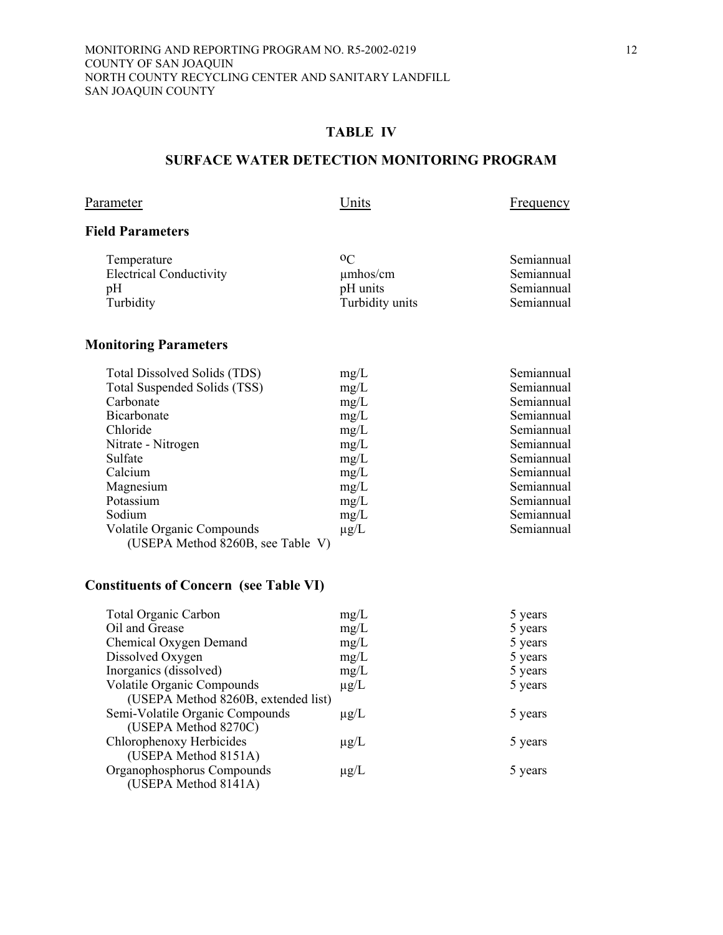## **TABLE IV**

### **SURFACE WATER DETECTION MONITORING PROGRAM**

Parameter Units Erequency

## **Field Parameters**

| Temperature                    | 0 <sup>C</sup>  | Semiannual |
|--------------------------------|-----------------|------------|
| <b>Electrical Conductivity</b> | $\mu$ mhos/cm   | Semiannual |
| pΗ                             | pH units        | Semiannual |
| Turbidity                      | Turbidity units | Semiannual |
|                                |                 |            |

# **Monitoring Parameters**

| Total Dissolved Solids (TDS)      | mg/L      | Semiannual |
|-----------------------------------|-----------|------------|
| Total Suspended Solids (TSS)      | mg/L      | Semiannual |
| Carbonate                         | mg/L      | Semiannual |
| Bicarbonate                       | mg/L      | Semiannual |
| Chloride                          | mg/L      | Semiannual |
| Nitrate - Nitrogen                | mg/L      | Semiannual |
| Sulfate                           | mg/L      | Semiannual |
| Calcium                           | mg/L      | Semiannual |
| Magnesium                         | mg/L      | Semiannual |
| Potassium                         | mg/L      | Semiannual |
| Sodium                            | mg/L      | Semiannual |
| Volatile Organic Compounds        | $\mu$ g/L | Semiannual |
| (USEPA Method 8260B, see Table V) |           |            |

| <b>Total Organic Carbon</b>         | mg/L      | 5 years |
|-------------------------------------|-----------|---------|
| Oil and Grease                      | mg/L      | 5 years |
| Chemical Oxygen Demand              | mg/L      | 5 years |
| Dissolved Oxygen                    | mg/L      | 5 years |
| Inorganics (dissolved)              | mg/L      | 5 years |
| <b>Volatile Organic Compounds</b>   | $\mu$ g/L | 5 years |
| (USEPA Method 8260B, extended list) |           |         |
| Semi-Volatile Organic Compounds     | $\mu$ g/L | 5 years |
| (USEPA Method 8270C)                |           |         |
| Chlorophenoxy Herbicides            | $\mu$ g/L | 5 years |
| (USEPA Method 8151A)                |           |         |
| Organophosphorus Compounds          | $\mu$ g/L | 5 years |
| (USEPA Method 8141A)                |           |         |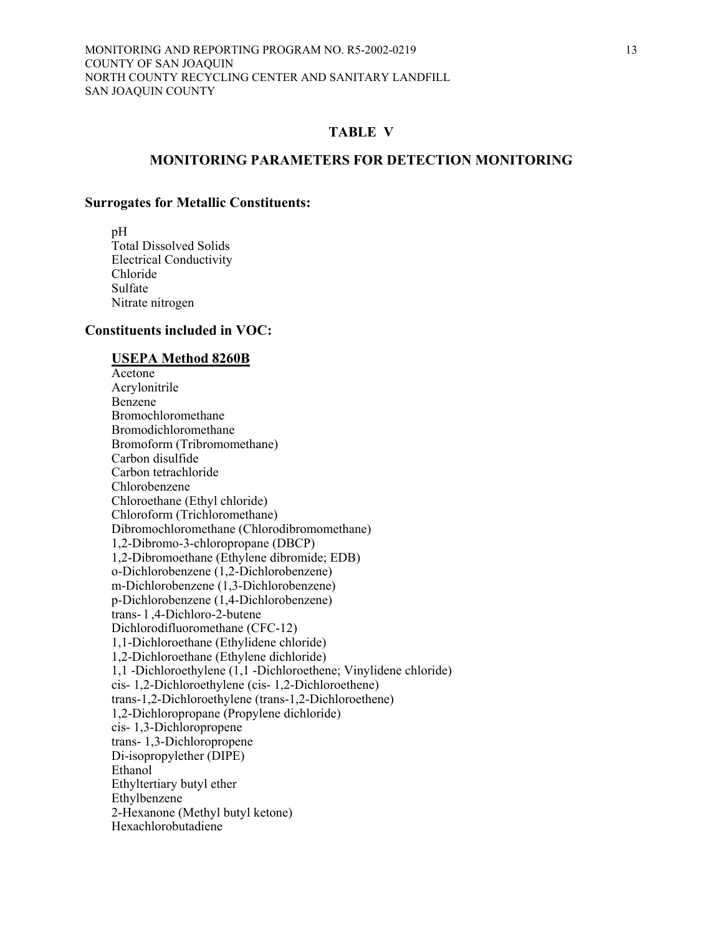#### **MONITORING PARAMETERS FOR DETECTION MONITORING**

#### **Surrogates for Metallic Constituents:**

 pH Total Dissolved Solids Electrical Conductivity Chloride Sulfate Nitrate nitrogen

#### **Constituents included in VOC:**

#### **USEPA Method 8260B**

 Acetone Acrylonitrile Benzene Bromochloromethane Bromodichloromethane Bromoform (Tribromomethane) Carbon disulfide Carbon tetrachloride Chlorobenzene Chloroethane (Ethyl chloride) Chloroform (Trichloromethane) Dibromochloromethane (Chlorodibromomethane) 1,2-Dibromo-3-chloropropane (DBCP) 1,2-Dibromoethane (Ethylene dibromide; EDB) o-Dichlorobenzene (1,2-Dichlorobenzene) m-Dichlorobenzene (1,3-Dichlorobenzene) p-Dichlorobenzene (1,4-Dichlorobenzene) trans- l ,4-Dichloro-2-butene Dichlorodifluoromethane (CFC-12) 1,1-Dichloroethane (Ethylidene chloride) 1,2-Dichloroethane (Ethylene dichloride) 1,1 -Dichloroethylene (1,1 -Dichloroethene; Vinylidene chloride) cis- 1,2-Dichloroethylene (cis- 1,2-Dichloroethene) trans-1,2-Dichloroethylene (trans-1,2-Dichloroethene) 1,2-Dichloropropane (Propylene dichloride) cis- 1,3-Dichloropropene trans- 1,3-Dichloropropene Di-isopropylether (DIPE) Ethanol Ethyltertiary butyl ether Ethylbenzene 2-Hexanone (Methyl butyl ketone) Hexachlorobutadiene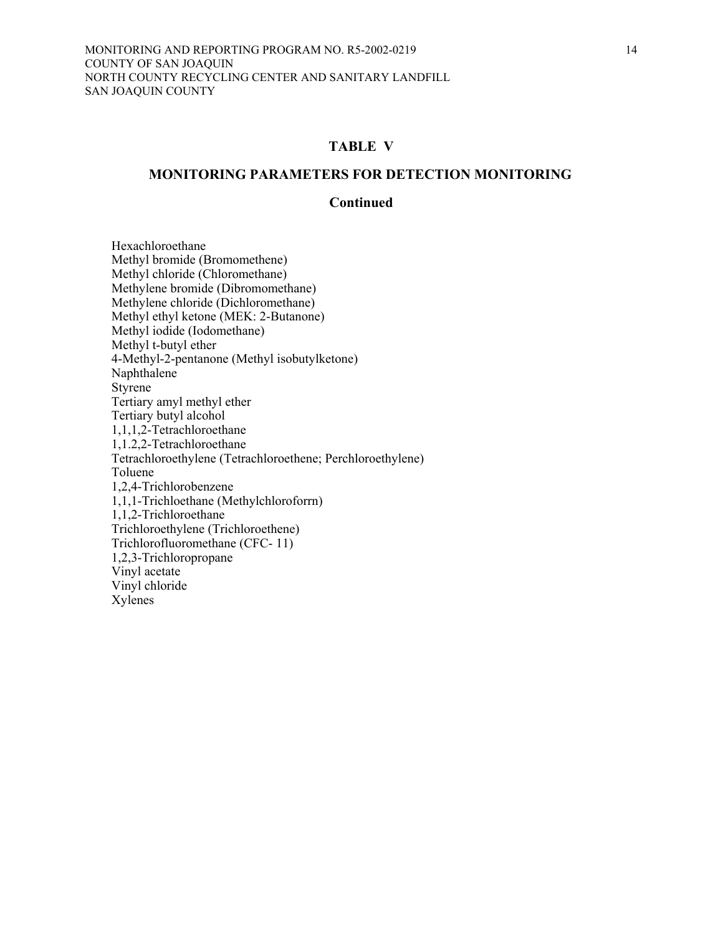#### **MONITORING PARAMETERS FOR DETECTION MONITORING**

#### **Continued**

 Hexachloroethane Methyl bromide (Bromomethene) Methyl chloride (Chloromethane) Methylene bromide (Dibromomethane) Methylene chloride (Dichloromethane) Methyl ethyl ketone (MEK: 2-Butanone) Methyl iodide (Iodomethane) Methyl t-butyl ether 4-Methyl-2-pentanone (Methyl isobutylketone) Naphthalene Styrene Tertiary amyl methyl ether Tertiary butyl alcohol 1,1,1,2-Tetrachloroethane 1,1.2,2-Tetrachloroethane Tetrachloroethylene (Tetrachloroethene; Perchloroethylene) Toluene 1,2,4-Trichlorobenzene 1,1,1-Trichloethane (Methylchloroforrn) 1,1,2-Trichloroethane Trichloroethylene (Trichloroethene) Trichlorofluoromethane (CFC- 11) 1,2,3-Trichloropropane Vinyl acetate Vinyl chloride Xylenes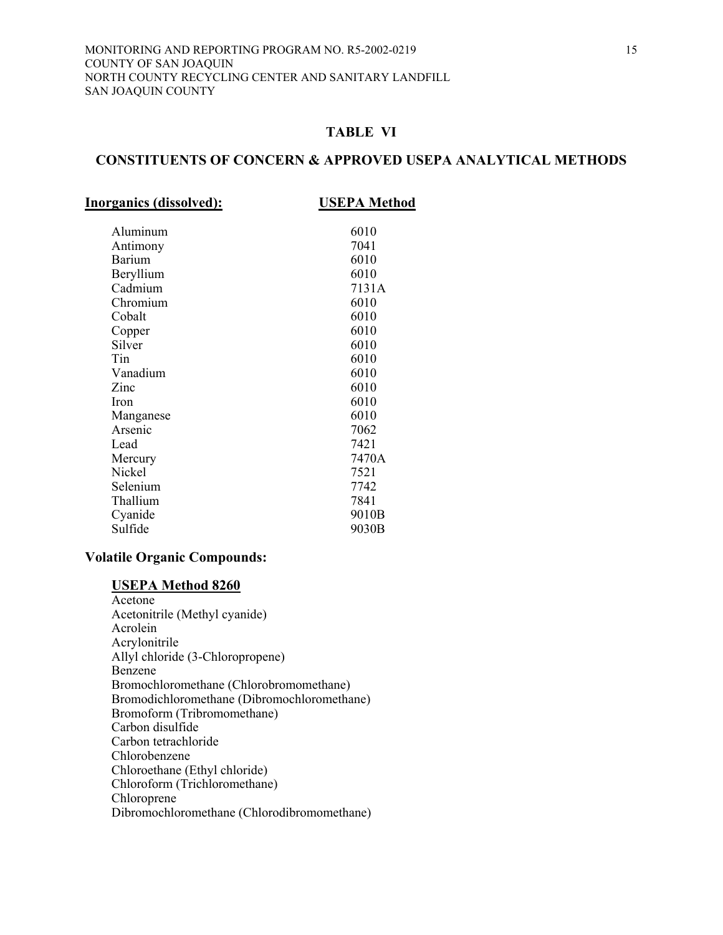#### **CONSTITUENTS OF CONCERN & APPROVED USEPA ANALYTICAL METHODS**

| Inorganics (dissolved): |  |
|-------------------------|--|
|                         |  |

**Inorganics (dissolved): USEPA Method**

| Aluminum  | 6010  |
|-----------|-------|
| Antimony  | 7041  |
| Barium    | 6010  |
| Beryllium | 6010  |
| Cadmium   | 7131A |
| Chromium  | 6010  |
| Cobalt    | 6010  |
| Copper    | 6010  |
| Silver    | 6010  |
| Tin       | 6010  |
| Vanadium  | 6010  |
| Zinc      | 6010  |
| Iron      | 6010  |
| Manganese | 6010  |
| Arsenic   | 7062  |
| Lead      | 7421  |
| Mercury   | 7470A |
| Nickel    | 7521  |
| Selenium  | 7742  |
| Thallium  | 7841  |
| Cyanide   | 9010B |
| Sulfide   | 9030B |
|           |       |

#### **Volatile Organic Compounds:**

#### **USEPA Method 8260**

 Acetone Acetonitrile (Methyl cyanide) Acrolein Acrylonitrile Allyl chloride (3-Chloropropene) Benzene Bromochloromethane (Chlorobromomethane) Bromodichloromethane (Dibromochloromethane) Bromoform (Tribromomethane) Carbon disulfide Carbon tetrachloride Chlorobenzene Chloroethane (Ethyl chloride) Chloroform (Trichloromethane) Chloroprene Dibromochloromethane (Chlorodibromomethane)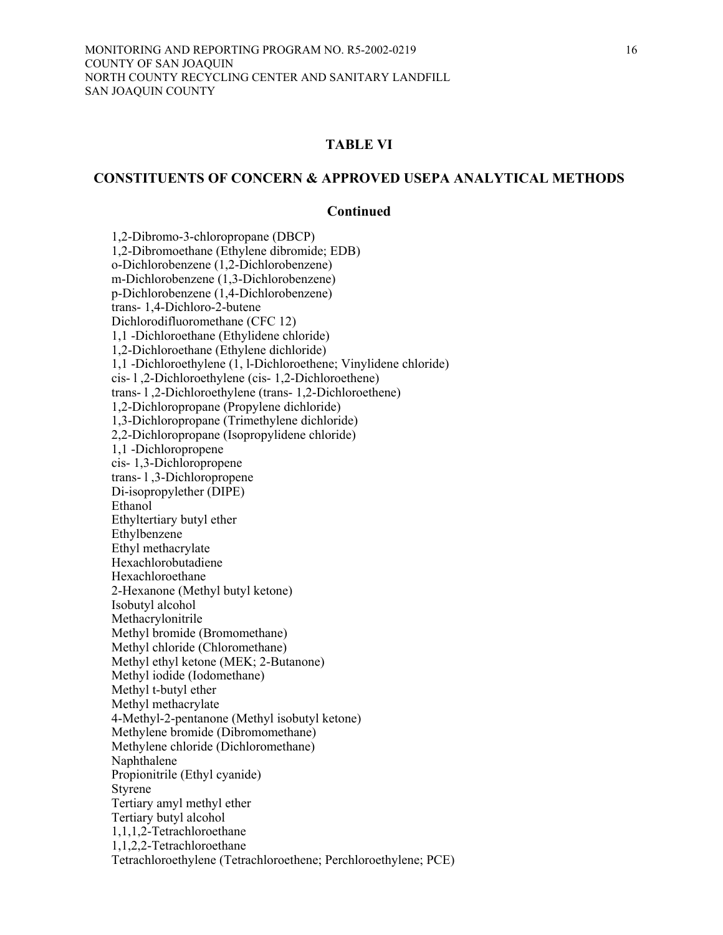#### **CONSTITUENTS OF CONCERN & APPROVED USEPA ANALYTICAL METHODS**

#### **Continued**

 1,2-Dibromo-3-chloropropane (DBCP) 1,2-Dibromoethane (Ethylene dibromide; EDB) o-Dichlorobenzene (1,2-Dichlorobenzene) m-Dichlorobenzene (1,3-Dichlorobenzene) p-Dichlorobenzene (1,4-Dichlorobenzene) trans- 1,4-Dichloro-2-butene Dichlorodifluoromethane (CFC 12) 1,1 -Dichloroethane (Ethylidene chloride) 1,2-Dichloroethane (Ethylene dichloride) 1,1 -Dichloroethylene (1, l-Dichloroethene; Vinylidene chloride) cis- l ,2-Dichloroethylene (cis- 1,2-Dichloroethene) trans- l ,2-Dichloroethylene (trans- 1,2-Dichloroethene) 1,2-Dichloropropane (Propylene dichloride) 1,3-Dichloropropane (Trimethylene dichloride) 2,2-Dichloropropane (Isopropylidene chloride) 1,1 -Dichloropropene cis- 1,3-Dichloropropene trans- l ,3-Dichloropropene Di-isopropylether (DIPE) Ethanol Ethyltertiary butyl ether Ethylbenzene Ethyl methacrylate Hexachlorobutadiene Hexachloroethane 2-Hexanone (Methyl butyl ketone) Isobutyl alcohol Methacrylonitrile Methyl bromide (Bromomethane) Methyl chloride (Chloromethane) Methyl ethyl ketone (MEK; 2-Butanone) Methyl iodide (Iodomethane) Methyl t-butyl ether Methyl methacrylate 4-Methyl-2-pentanone (Methyl isobutyl ketone) Methylene bromide (Dibromomethane) Methylene chloride (Dichloromethane) Naphthalene Propionitrile (Ethyl cyanide) Styrene Tertiary amyl methyl ether Tertiary butyl alcohol 1,1,1,2-Tetrachloroethane 1,1,2,2-Tetrachloroethane Tetrachloroethylene (Tetrachloroethene; Perchloroethylene; PCE)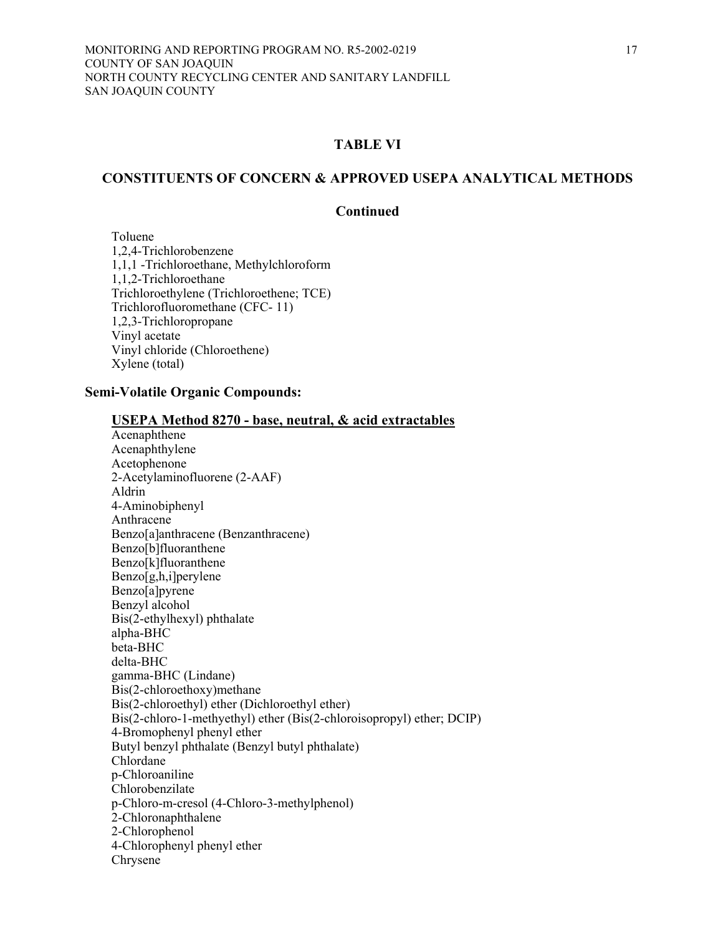## **CONSTITUENTS OF CONCERN & APPROVED USEPA ANALYTICAL METHODS**

### **Continued**

 Toluene 1,2,4-Trichlorobenzene 1,1,1 -Trichloroethane, Methylchloroform 1,1,2-Trichloroethane Trichloroethylene (Trichloroethene; TCE) Trichlorofluoromethane (CFC- 11) 1,2,3-Trichloropropane Vinyl acetate Vinyl chloride (Chloroethene) Xylene (total)

## **Semi-Volatile Organic Compounds:**

| USEPA Method 8270 - base, neutral, & acid extractables<br>Acenaphthene |
|------------------------------------------------------------------------|
| Acenaphthylene                                                         |
| Acetophenone                                                           |
| 2-Acetylaminofluorene (2-AAF)                                          |
| Aldrin                                                                 |
| 4-Aminobiphenyl                                                        |
| Anthracene                                                             |
| Benzo[a]anthracene (Benzanthracene)                                    |
| Benzo[b]fluoranthene                                                   |
| Benzo[k]fluoranthene                                                   |
| Benzo[g,h,i]perylene                                                   |
| Benzo[a]pyrene                                                         |
| Benzyl alcohol                                                         |
| Bis(2-ethylhexyl) phthalate                                            |
| alpha-BHC                                                              |
| beta-BHC                                                               |
| delta-BHC                                                              |
| gamma-BHC (Lindane)                                                    |
| Bis(2-chloroethoxy)methane                                             |
| Bis(2-chloroethyl) ether (Dichloroethyl ether)                         |
| Bis(2-chloro-1-methyethyl) ether (Bis(2-chloroisopropyl) ether; DCIP)  |
| 4-Bromophenyl phenyl ether                                             |
| Butyl benzyl phthalate (Benzyl butyl phthalate)                        |
| Chlordane                                                              |
| p-Chloroaniline                                                        |
| Chlorobenzilate                                                        |
| p-Chloro-m-cresol (4-Chloro-3-methylphenol)                            |
| 2-Chloronaphthalene                                                    |
| 2-Chlorophenol                                                         |
| 4-Chlorophenyl phenyl ether                                            |
| Chrysene                                                               |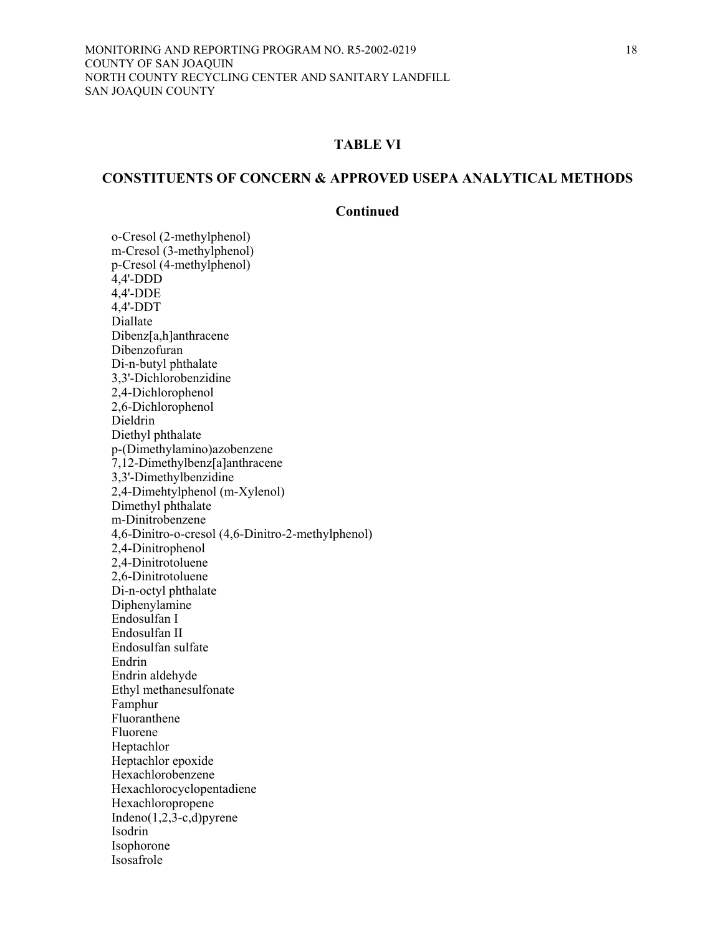# **CONSTITUENTS OF CONCERN & APPROVED USEPA ANALYTICAL METHODS**

### **Continued**

o-Cresol (2-methylphenol) m-Cresol (3-methylphenol) p-Cresol (4-methylphenol) 4,4'-DDD 4,4'-DDE 4,4'-DDT Diallate Dibenz[a,h]anthracene Dibenzofuran Di-n-butyl phthalate 3,3'-Dichlorobenzidine 2,4-Dichlorophenol 2,6-Dichlorophenol Dieldrin Diethyl phthalate p-(Dimethylamino)azobenzene 7,12-Dimethylbenz[a]anthracene 3,3'-Dimethylbenzidine 2,4-Dimehtylphenol (m-Xylenol) Dimethyl phthalate m-Dinitrobenzene 4,6-Dinitro-o-cresol (4,6-Dinitro-2-methylphenol) 2,4-Dinitrophenol 2,4-Dinitrotoluene 2,6-Dinitrotoluene Di-n-octyl phthalate Diphenylamine Endosulfan I Endosulfan II Endosulfan sulfate Endrin Endrin aldehyde Ethyl methanesulfonate Famphur Fluoranthene Fluorene Heptachlor Heptachlor epoxide Hexachlorobenzene Hexachlorocyclopentadiene Hexachloropropene Indeno $(1,2,3-c,d)$ pyrene Isodrin Isophorone Isosafrole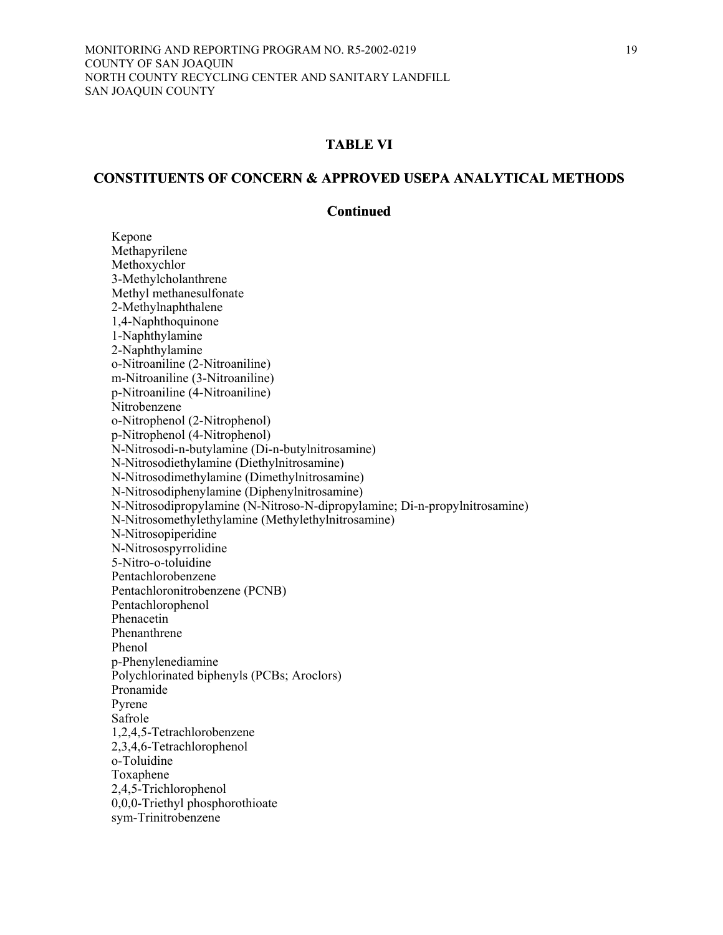### **CONSTITUENTS OF CONCERN & APPROVED USEPA ANALYTICAL METHODS**

#### **Continued**

 Kepone Methapyrilene Methoxychlor 3-Methylcholanthrene Methyl methanesulfonate 2-Methylnaphthalene 1,4-Naphthoquinone 1-Naphthylamine 2-Naphthylamine o-Nitroaniline (2-Nitroaniline) m-Nitroaniline (3-Nitroaniline) p-Nitroaniline (4-Nitroaniline) Nitrobenzene o-Nitrophenol (2-Nitrophenol) p-Nitrophenol (4-Nitrophenol) N-Nitrosodi-n-butylamine (Di-n-butylnitrosamine) N-Nitrosodiethylamine (Diethylnitrosamine) N-Nitrosodimethylamine (Dimethylnitrosamine) N-Nitrosodiphenylamine (Diphenylnitrosamine) N-Nitrosodipropylamine (N-Nitroso-N-dipropylamine; Di-n-propylnitrosamine) N-Nitrosomethylethylamine (Methylethylnitrosamine) N-Nitrosopiperidine N-Nitrosospyrrolidine 5-Nitro-o-toluidine Pentachlorobenzene Pentachloronitrobenzene (PCNB) Pentachlorophenol Phenacetin Phenanthrene Phenol p-Phenylenediamine Polychlorinated biphenyls (PCBs; Aroclors) Pronamide Pyrene Safrole 1,2,4,5-Tetrachlorobenzene 2,3,4,6-Tetrachlorophenol o-Toluidine Toxaphene 2,4,5-Trichlorophenol 0,0,0-Triethyl phosphorothioate sym-Trinitrobenzene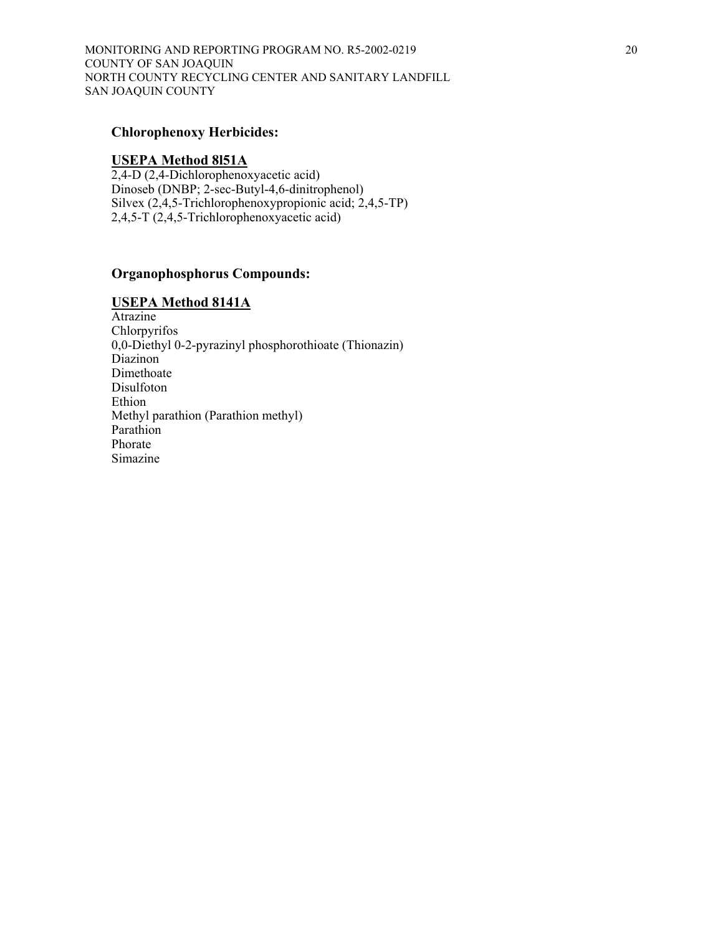## **Chlorophenoxy Herbicides:**

#### **USEPA Method 8l51A**

2,4-D (2,4-Dichlorophenoxyacetic acid) Dinoseb (DNBP; 2-sec-Butyl-4,6-dinitrophenol) Silvex (2,4,5-Trichlorophenoxypropionic acid; 2,4,5-TP) 2,4,5-T (2,4,5-Trichlorophenoxyacetic acid)

## **Organophosphorus Compounds:**

#### **USEPA Method 8141A**

Atrazine Chlorpyrifos 0,0-Diethyl 0-2-pyrazinyl phosphorothioate (Thionazin) Diazinon Dimethoate Disulfoton Ethion Methyl parathion (Parathion methyl) Parathion Phorate Simazine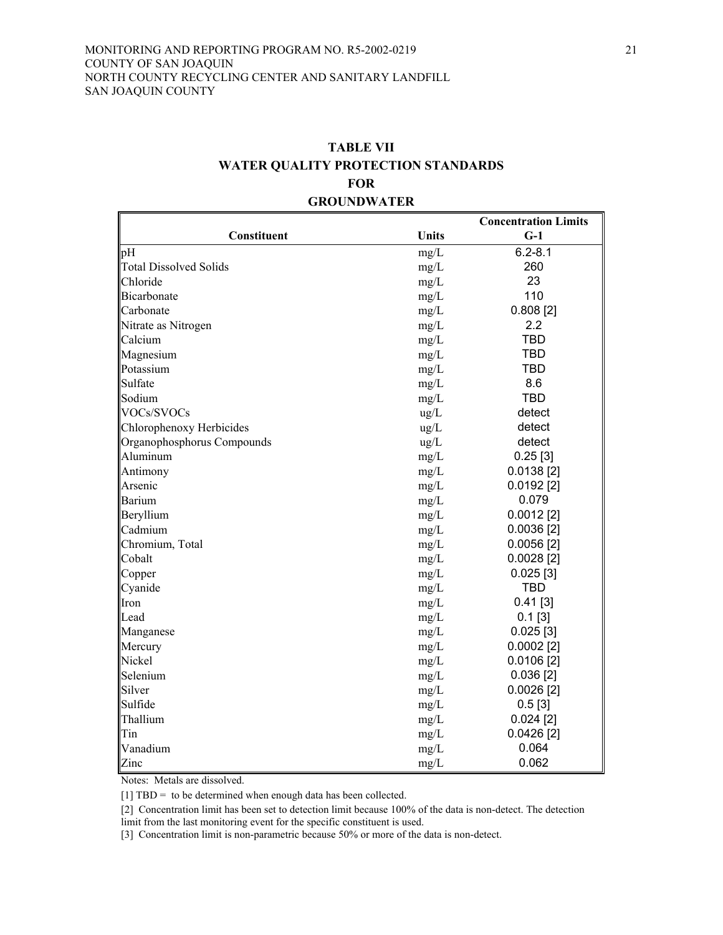# **TABLE VII WATER QUALITY PROTECTION STANDARDS FOR GROUNDWATER**

|                               |               | <b>Concentration Limits</b> |
|-------------------------------|---------------|-----------------------------|
| Constituent                   | <b>Units</b>  | $G-1$                       |
| pH                            | mg/L          | $6.2 - 8.1$                 |
| <b>Total Dissolved Solids</b> | mg/L          | 260                         |
| Chloride                      | mg/L          | 23                          |
| <b>Bicarbonate</b>            | mg/L          | 110                         |
| Carbonate                     | mg/L          | $0.808$ [2]                 |
| Nitrate as Nitrogen           | mg/L          | 2.2                         |
| Calcium                       | mg/L          | <b>TBD</b>                  |
| Magnesium                     | mg/L          | <b>TBD</b>                  |
| Potassium                     | mg/L          | <b>TBD</b>                  |
| Sulfate                       | mg/L          | 8.6                         |
| Sodium                        | mg/L          | <b>TBD</b>                  |
| VOCs/SVOCs                    | $\text{ug/L}$ | detect                      |
| Chlorophenoxy Herbicides      | $\text{ug/L}$ | detect                      |
| Organophosphorus Compounds    | $\text{ug/L}$ | detect                      |
| Aluminum                      | mg/L          | $0.25$ [3]                  |
| Antimony                      | mg/L          | 0.0138[2]                   |
| Arsenic                       | mg/L          | $0.0192$ [2]                |
| <b>Barium</b>                 | mg/L          | 0.079                       |
| Beryllium                     | mg/L          | $0.0012$ [2]                |
| Cadmium                       | mg/L          | $0.0036$ [2]                |
| Chromium, Total               | mg/L          | $0.0056$ [2]                |
| Cobalt                        | mg/L          | $0.0028$ [2]                |
| Copper                        | mg/L          | $0.025$ [3]                 |
| Cyanide                       | mg/L          | <b>TBD</b>                  |
| Iron                          | mg/L          | $0.41$ [3]                  |
| Lead                          | mg/L          | $0.1$ [3]                   |
| Manganese                     | mg/L          | $0.025$ [3]                 |
| Mercury                       | mg/L          | $0.0002$ [2]                |
| Nickel                        | mg/L          | $0.0106$ [2]                |
| Selenium                      | mg/L          | 0.036[2]                    |
| Silver                        | mg/L          | $0.0026$ [2]                |
| Sulfide                       | mg/L          | 0.5[3]                      |
| Thallium                      | mg/L          | $0.024$ [2]                 |
| Tin                           | mg/L          | $0.0426$ [2]                |
| Vanadium                      | mg/L          | 0.064                       |
| Zinc                          | mg/L          | 0.062                       |

Notes: Metals are dissolved.

[1] TBD = to be determined when enough data has been collected.

[2] Concentration limit has been set to detection limit because 100% of the data is non-detect. The detection limit from the last monitoring event for the specific constituent is used.

[3] Concentration limit is non-parametric because 50% or more of the data is non-detect.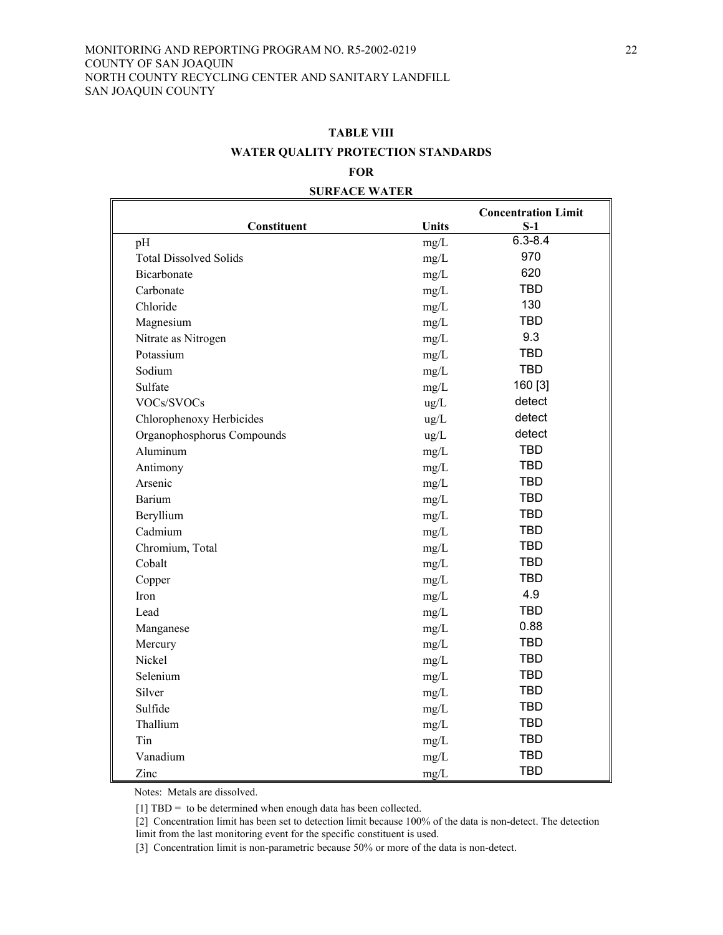# **TABLE VIII WATER QUALITY PROTECTION STANDARDS FOR**

**SURFACE WATER**

## **Constituent Units Concentration Limit S-1**   $pH$  6.3-8.4 Total Dissolved Solids mg/L 970 Bicarbonate mg/L 620  $Carbonate$  TBD Chloride mg/L 130 Magnesium mg/L TBD Nitrate as Nitrogen mg/L 9.3 Potassium and the matrix of the matrix of the matrix of the matrix of the matrix of the matrix of the matrix of the matrix of the matrix of the matrix of the matrix of the matrix of the matrix of the matrix of the matrix o Sodium mg/L TBD Sulfate  $mg/L$  160 [3] VOCs/SVOCs ug/L detect Chlorophenoxy Herbicides ug/L detect Organophosphorus Compounds ug/L detect Aluminum mg/L TBD Antimony mg/L TBD Arsenic mg/L TBD Barium mg/L TBD Beryllium mg/L TBD Cadmium mg/L TBD Chromium, Total mg/L TBD  $\text{Cobalt}$  TBD  $Copper$  TBD  $mg/L$  TBD  $\text{Im}(L$  4.9 Lead  $mg/L$  TBD Manganese 0.88 Mercury mg/L TBD Nickel mg/L TBD Selenium mg/L TBD Silver mg/L TBD Sulfide TBD mg/L TBD  $mgl$  TBD mg/L TBD Tin  $mg/L$  TBD Vanadium mg/L TBD  $\text{Z}$ inc TBD

Notes: Metals are dissolved.

[1] TBD = to be determined when enough data has been collected.

[2] Concentration limit has been set to detection limit because 100% of the data is non-detect. The detection

limit from the last monitoring event for the specific constituent is used.

[3] Concentration limit is non-parametric because 50% or more of the data is non-detect.